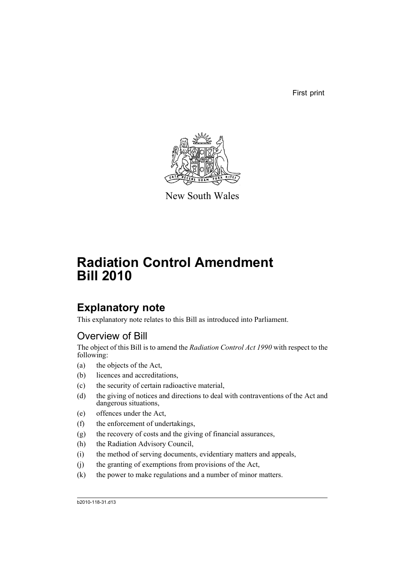First print



New South Wales

# **Radiation Control Amendment Bill 2010**

# **Explanatory note**

This explanatory note relates to this Bill as introduced into Parliament.

# Overview of Bill

The object of this Bill is to amend the *Radiation Control Act 1990* with respect to the following:

- (a) the objects of the Act,
- (b) licences and accreditations,
- (c) the security of certain radioactive material,
- (d) the giving of notices and directions to deal with contraventions of the Act and dangerous situations,
- (e) offences under the Act,
- (f) the enforcement of undertakings,
- (g) the recovery of costs and the giving of financial assurances,
- (h) the Radiation Advisory Council,
- (i) the method of serving documents, evidentiary matters and appeals,
- (j) the granting of exemptions from provisions of the Act,
- (k) the power to make regulations and a number of minor matters.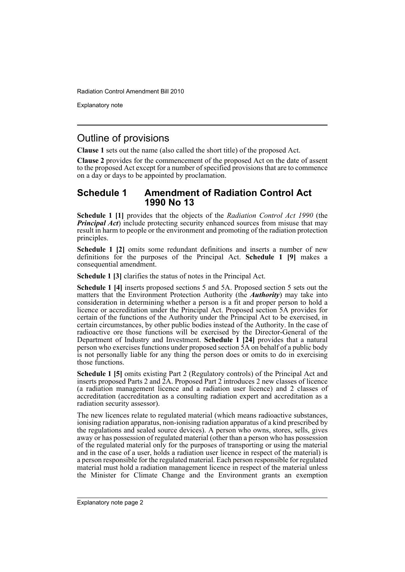Explanatory note

# Outline of provisions

**Clause 1** sets out the name (also called the short title) of the proposed Act.

**Clause 2** provides for the commencement of the proposed Act on the date of assent to the proposed Act except for a number of specified provisions that are to commence on a day or days to be appointed by proclamation.

# **Schedule 1 Amendment of Radiation Control Act 1990 No 13**

**Schedule 1 [1]** provides that the objects of the *Radiation Control Act 1990* (the *Principal Act*) include protecting security enhanced sources from misuse that may result in harm to people or the environment and promoting of the radiation protection principles.

**Schedule 1 [2]** omits some redundant definitions and inserts a number of new definitions for the purposes of the Principal Act. **Schedule 1 [9]** makes a consequential amendment.

**Schedule 1 [3]** clarifies the status of notes in the Principal Act.

**Schedule 1 [4]** inserts proposed sections 5 and 5A. Proposed section 5 sets out the matters that the Environment Protection Authority (the *Authority*) may take into consideration in determining whether a person is a fit and proper person to hold a licence or accreditation under the Principal Act. Proposed section 5A provides for certain of the functions of the Authority under the Principal Act to be exercised, in certain circumstances, by other public bodies instead of the Authority. In the case of radioactive ore those functions will be exercised by the Director-General of the Department of Industry and Investment. **Schedule 1 [24]** provides that a natural person who exercises functions under proposed section 5A on behalf of a public body is not personally liable for any thing the person does or omits to do in exercising those functions.

**Schedule 1 [5]** omits existing Part 2 (Regulatory controls) of the Principal Act and inserts proposed Parts 2 and 2A. Proposed Part 2 introduces 2 new classes of licence (a radiation management licence and a radiation user licence) and 2 classes of accreditation (accreditation as a consulting radiation expert and accreditation as a radiation security assessor).

The new licences relate to regulated material (which means radioactive substances, ionising radiation apparatus, non-ionising radiation apparatus of a kind prescribed by the regulations and sealed source devices). A person who owns, stores, sells, gives away or has possession of regulated material (other than a person who has possession of the regulated material only for the purposes of transporting or using the material and in the case of a user, holds a radiation user licence in respect of the material) is a person responsible for the regulated material. Each person responsible for regulated material must hold a radiation management licence in respect of the material unless the Minister for Climate Change and the Environment grants an exemption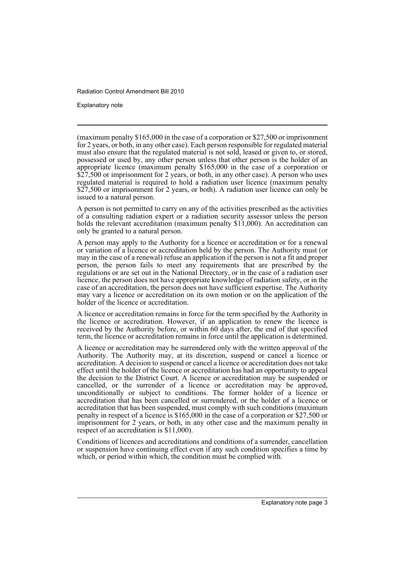Explanatory note

(maximum penalty \$165,000 in the case of a corporation or \$27,500 or imprisonment for 2 years, or both, in any other case). Each person responsible for regulated material must also ensure that the regulated material is not sold, leased or given to, or stored, possessed or used by, any other person unless that other person is the holder of an appropriate licence (maximum penalty \$165,000 in the case of a corporation or \$27,500 or imprisonment for 2 years, or both, in any other case). A person who uses regulated material is required to hold a radiation user licence (maximum penalty \$27,500 or imprisonment for 2 years, or both). A radiation user licence can only be issued to a natural person.

A person is not permitted to carry on any of the activities prescribed as the activities of a consulting radiation expert or a radiation security assessor unless the person holds the relevant accreditation (maximum penalty \$11,000). An accreditation can only be granted to a natural person.

A person may apply to the Authority for a licence or accreditation or for a renewal or variation of a licence or accreditation held by the person. The Authority must (or may in the case of a renewal) refuse an application if the person is not a fit and proper person, the person fails to meet any requirements that are prescribed by the regulations or are set out in the National Directory, or in the case of a radiation user licence, the person does not have appropriate knowledge of radiation safety, or in the case of an accreditation, the person does not have sufficient expertise. The Authority may vary a licence or accreditation on its own motion or on the application of the holder of the licence or accreditation.

A licence or accreditation remains in force for the term specified by the Authority in the licence or accreditation. However, if an application to renew the licence is received by the Authority before, or within 60 days after, the end of that specified term, the licence or accreditation remains in force until the application is determined.

A licence or accreditation may be surrendered only with the written approval of the Authority. The Authority may, at its discretion, suspend or cancel a licence or accreditation. A decision to suspend or cancel a licence or accreditation does not take effect until the holder of the licence or accreditation has had an opportunity to appeal the decision to the District Court. A licence or accreditation may be suspended or cancelled, or the surrender of a licence or accreditation may be approved, unconditionally or subject to conditions. The former holder of a licence or accreditation that has been cancelled or surrendered, or the holder of a licence or accreditation that has been suspended, must comply with such conditions (maximum penalty in respect of a licence is \$165,000 in the case of a corporation or \$27,500 or imprisonment for 2 years, or both, in any other case and the maximum penalty in respect of an accreditation is \$11,000).

Conditions of licences and accreditations and conditions of a surrender, cancellation or suspension have continuing effect even if any such condition specifies a time by which, or period within which, the condition must be complied with.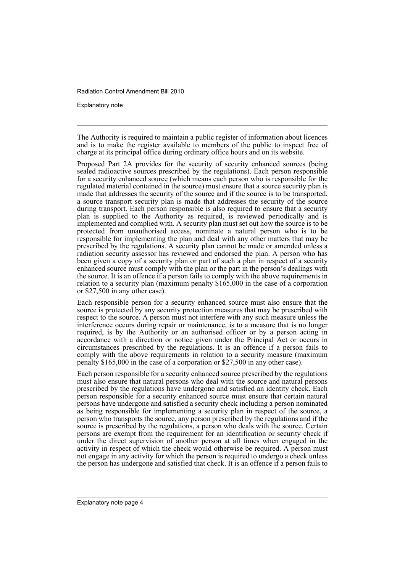Explanatory note

The Authority is required to maintain a public register of information about licences and is to make the register available to members of the public to inspect free of charge at its principal office during ordinary office hours and on its website.

Proposed Part 2A provides for the security of security enhanced sources (being sealed radioactive sources prescribed by the regulations). Each person responsible for a security enhanced source (which means each person who is responsible for the regulated material contained in the source) must ensure that a source security plan is made that addresses the security of the source and if the source is to be transported, a source transport security plan is made that addresses the security of the source during transport. Each person responsible is also required to ensure that a security plan is supplied to the Authority as required, is reviewed periodically and is implemented and complied with. A security plan must set out how the source is to be protected from unauthorised access, nominate a natural person who is to be responsible for implementing the plan and deal with any other matters that may be prescribed by the regulations. A security plan cannot be made or amended unless a radiation security assessor has reviewed and endorsed the plan. A person who has been given a copy of a security plan or part of such a plan in respect of a security enhanced source must comply with the plan or the part in the person's dealings with the source. It is an offence if a person fails to comply with the above requirements in relation to a security plan (maximum penalty \$165,000 in the case of a corporation or \$27,500 in any other case).

Each responsible person for a security enhanced source must also ensure that the source is protected by any security protection measures that may be prescribed with respect to the source. A person must not interfere with any such measure unless the interference occurs during repair or maintenance, is to a measure that is no longer required, is by the Authority or an authorised officer or by a person acting in accordance with a direction or notice given under the Principal Act or occurs in circumstances prescribed by the regulations. It is an offence if a person fails to comply with the above requirements in relation to a security measure (maximum penalty \$165,000 in the case of a corporation or \$27,500 in any other case).

Each person responsible for a security enhanced source prescribed by the regulations must also ensure that natural persons who deal with the source and natural persons prescribed by the regulations have undergone and satisfied an identity check. Each person responsible for a security enhanced source must ensure that certain natural persons have undergone and satisfied a security check including a person nominated as being responsible for implementing a security plan in respect of the source, a person who transports the source, any person prescribed by the regulations and if the source is prescribed by the regulations, a person who deals with the source. Certain persons are exempt from the requirement for an identification or security check if under the direct supervision of another person at all times when engaged in the activity in respect of which the check would otherwise be required. A person must not engage in any activity for which the person is required to undergo a check unless the person has undergone and satisfied that check. It is an offence if a person fails to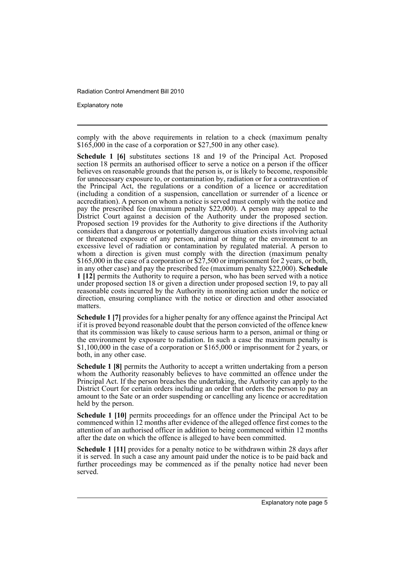Explanatory note

comply with the above requirements in relation to a check (maximum penalty  $$16\overline{5}000$  in the case of a corporation or  $$27,500$  in any other case).

**Schedule 1 [6]** substitutes sections 18 and 19 of the Principal Act. Proposed section 18 permits an authorised officer to serve a notice on a person if the officer believes on reasonable grounds that the person is, or is likely to become, responsible for unnecessary exposure to, or contamination by, radiation or for a contravention of the Principal Act, the regulations or a condition of a licence or accreditation (including a condition of a suspension, cancellation or surrender of a licence or accreditation). A person on whom a notice is served must comply with the notice and pay the prescribed fee (maximum penalty \$22,000). A person may appeal to the District Court against a decision of the Authority under the proposed section. Proposed section 19 provides for the Authority to give directions if the Authority considers that a dangerous or potentially dangerous situation exists involving actual or threatened exposure of any person, animal or thing or the environment to an excessive level of radiation or contamination by regulated material. A person to whom a direction is given must comply with the direction (maximum penalty \$165,000 in the case of a corporation or  $\frac{27}{500}$  or imprisonment for 2 years, or both, in any other case) and pay the prescribed fee (maximum penalty \$22,000). **Schedule 1 [12]** permits the Authority to require a person, who has been served with a notice under proposed section 18 or given a direction under proposed section 19, to pay all reasonable costs incurred by the Authority in monitoring action under the notice or direction, ensuring compliance with the notice or direction and other associated matters.

**Schedule 1 [7]** provides for a higher penalty for any offence against the Principal Act if it is proved beyond reasonable doubt that the person convicted of the offence knew that its commission was likely to cause serious harm to a person, animal or thing or the environment by exposure to radiation. In such a case the maximum penalty is \$1,100,000 in the case of a corporation or \$165,000 or imprisonment for  $\hat{2}$  years, or both, in any other case.

**Schedule 1 [8]** permits the Authority to accept a written undertaking from a person whom the Authority reasonably believes to have committed an offence under the Principal Act. If the person breaches the undertaking, the Authority can apply to the District Court for certain orders including an order that orders the person to pay an amount to the Sate or an order suspending or cancelling any licence or accreditation held by the person.

**Schedule 1 [10]** permits proceedings for an offence under the Principal Act to be commenced within 12 months after evidence of the alleged offence first comes to the attention of an authorised officer in addition to being commenced within 12 months after the date on which the offence is alleged to have been committed.

**Schedule 1 [11]** provides for a penalty notice to be withdrawn within 28 days after it is served. In such a case any amount paid under the notice is to be paid back and further proceedings may be commenced as if the penalty notice had never been served.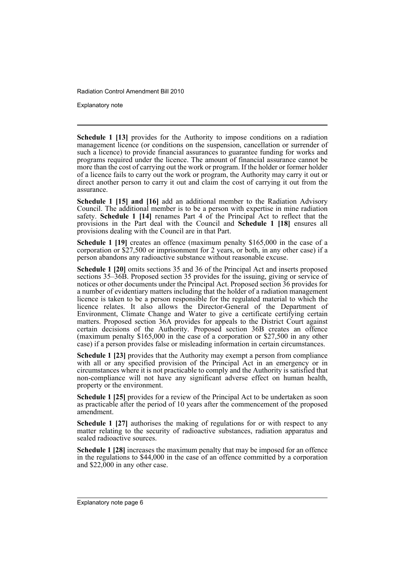Explanatory note

**Schedule 1 [13]** provides for the Authority to impose conditions on a radiation management licence (or conditions on the suspension, cancellation or surrender of such a licence) to provide financial assurances to guarantee funding for works and programs required under the licence. The amount of financial assurance cannot be more than the cost of carrying out the work or program. If the holder or former holder of a licence fails to carry out the work or program, the Authority may carry it out or direct another person to carry it out and claim the cost of carrying it out from the assurance.

**Schedule 1 [15] and [16]** add an additional member to the Radiation Advisory Council. The additional member is to be a person with expertise in mine radiation safety. **Schedule 1 [14]** renames Part 4 of the Principal Act to reflect that the provisions in the Part deal with the Council and **Schedule 1 [18]** ensures all provisions dealing with the Council are in that Part.

**Schedule 1 [19]** creates an offence (maximum penalty \$165,000 in the case of a corporation or \$27,500 or imprisonment for 2 years, or both, in any other case) if a person abandons any radioactive substance without reasonable excuse.

**Schedule 1 [20]** omits sections 35 and 36 of the Principal Act and inserts proposed sections 35–36B. Proposed section 35 provides for the issuing, giving or service of notices or other documents under the Principal Act. Proposed section 36 provides for a number of evidentiary matters including that the holder of a radiation management licence is taken to be a person responsible for the regulated material to which the licence relates. It also allows the Director-General of the Department of Environment, Climate Change and Water to give a certificate certifying certain matters. Proposed section 36A provides for appeals to the District Court against certain decisions of the Authority. Proposed section 36B creates an offence (maximum penalty \$165,000 in the case of a corporation or \$27,500 in any other case) if a person provides false or misleading information in certain circumstances.

**Schedule 1 [23]** provides that the Authority may exempt a person from compliance with all or any specified provision of the Principal Act in an emergency or in circumstances where it is not practicable to comply and the Authority is satisfied that non-compliance will not have any significant adverse effect on human health, property or the environment.

**Schedule 1 [25]** provides for a review of the Principal Act to be undertaken as soon as practicable after the period of 10 years after the commencement of the proposed amendment.

**Schedule 1 [27]** authorises the making of regulations for or with respect to any matter relating to the security of radioactive substances, radiation apparatus and sealed radioactive sources.

**Schedule 1 [28]** increases the maximum penalty that may be imposed for an offence in the regulations to \$44,000 in the case of an offence committed by a corporation and \$22,000 in any other case.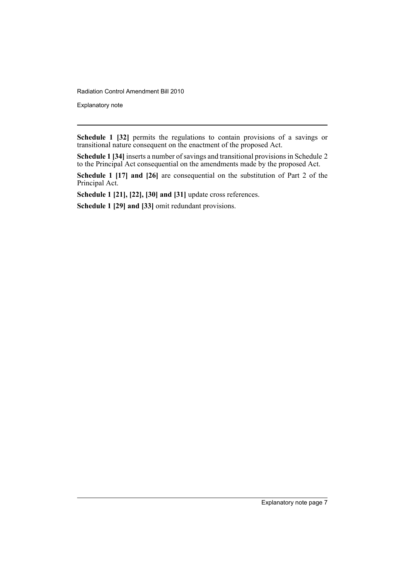Explanatory note

**Schedule 1 [32]** permits the regulations to contain provisions of a savings or transitional nature consequent on the enactment of the proposed Act.

**Schedule 1 [34]** inserts a number of savings and transitional provisions in Schedule 2 to the Principal Act consequential on the amendments made by the proposed Act.

**Schedule 1 [17] and [26]** are consequential on the substitution of Part 2 of the Principal Act.

**Schedule 1 [21], [22], [30] and [31]** update cross references.

**Schedule 1 [29] and [33]** omit redundant provisions.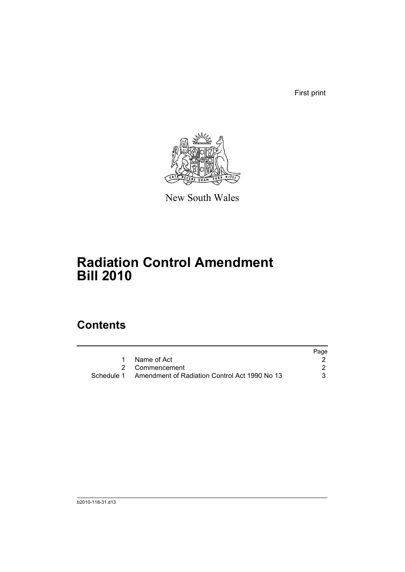First print



New South Wales

# **Radiation Control Amendment Bill 2010**

# **Contents**

|                                                          | Page |
|----------------------------------------------------------|------|
| Name of Act                                              |      |
| 2 Commencement                                           |      |
| Schedule 1 Amendment of Radiation Control Act 1990 No 13 | 3    |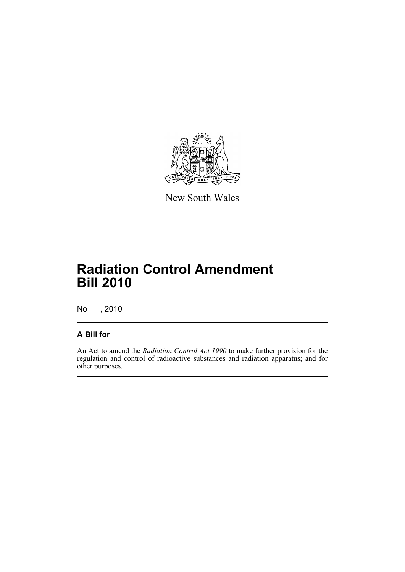

New South Wales

# **Radiation Control Amendment Bill 2010**

No , 2010

# **A Bill for**

An Act to amend the *Radiation Control Act 1990* to make further provision for the regulation and control of radioactive substances and radiation apparatus; and for other purposes.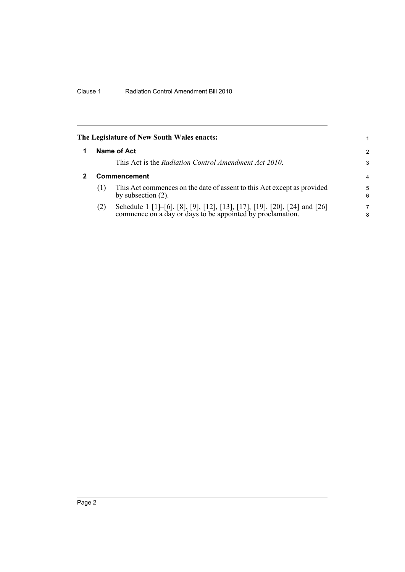<span id="page-11-1"></span><span id="page-11-0"></span>

|                     | The Legislature of New South Wales enacts:                                                                                           | 1.            |  |  |
|---------------------|--------------------------------------------------------------------------------------------------------------------------------------|---------------|--|--|
|                     | Name of Act                                                                                                                          | $\mathcal{P}$ |  |  |
|                     | This Act is the Radiation Control Amendment Act 2010.                                                                                | 3             |  |  |
| <b>Commencement</b> |                                                                                                                                      |               |  |  |
| (1)                 | This Act commences on the date of assent to this Act except as provided<br>by subsection $(2)$ .                                     | 5<br>6        |  |  |
| (2)                 | Schedule 1 [1]–[6], [8], [9], [12], [13], [17], [19], [20], [24] and [26] commence on a day or days to be appointed by proclamation. | 7<br>8        |  |  |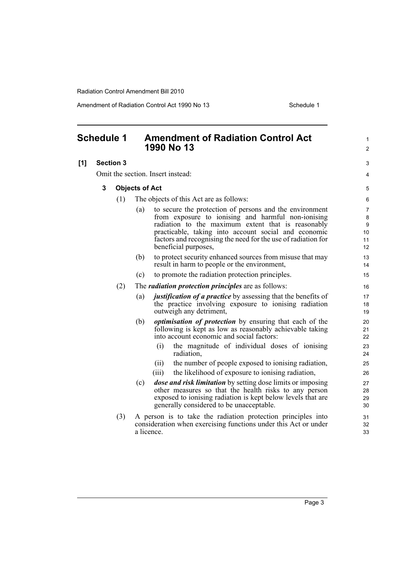<span id="page-12-0"></span>

| <b>Schedule 1</b> |                  |     |                       | 1990 No 13                        | <b>Amendment of Radiation Control Act</b>                                                                                                                                                                                                                                                                            | 1<br>2                           |
|-------------------|------------------|-----|-----------------------|-----------------------------------|----------------------------------------------------------------------------------------------------------------------------------------------------------------------------------------------------------------------------------------------------------------------------------------------------------------------|----------------------------------|
| [1]               | <b>Section 3</b> |     |                       |                                   |                                                                                                                                                                                                                                                                                                                      | 3                                |
|                   |                  |     |                       | Omit the section. Insert instead: |                                                                                                                                                                                                                                                                                                                      | 4                                |
|                   | 3                |     | <b>Objects of Act</b> |                                   |                                                                                                                                                                                                                                                                                                                      | 5                                |
|                   |                  | (1) |                       |                                   | The objects of this Act are as follows:                                                                                                                                                                                                                                                                              | 6                                |
|                   |                  |     | (a)                   |                                   | to secure the protection of persons and the environment<br>from exposure to ionising and harmful non-ionising<br>radiation to the maximum extent that is reasonably<br>practicable, taking into account social and economic<br>factors and recognising the need for the use of radiation for<br>beneficial purposes, | 7<br>8<br>9<br>10<br>11<br>12    |
|                   |                  |     | (b)                   |                                   | to protect security enhanced sources from misuse that may<br>result in harm to people or the environment,                                                                                                                                                                                                            | 13<br>14                         |
|                   |                  |     | (c)                   |                                   | to promote the radiation protection principles.                                                                                                                                                                                                                                                                      | 15                               |
|                   |                  | (2) |                       |                                   | The <i>radiation protection principles</i> are as follows:                                                                                                                                                                                                                                                           | 16                               |
|                   |                  |     | (a)                   |                                   | <i>justification of a practice</i> by assessing that the benefits of<br>the practice involving exposure to ionising radiation<br>outweigh any detriment,                                                                                                                                                             | 17<br>18<br>19                   |
|                   |                  |     | (b)                   | (i)<br>(i)                        | <i>optimisation of protection</i> by ensuring that each of the<br>following is kept as low as reasonably achievable taking<br>into account economic and social factors:<br>the magnitude of individual doses of ionising<br>radiation,<br>the number of people exposed to ionising radiation,                        | 20<br>21<br>22<br>23<br>24<br>25 |
|                   |                  |     |                       | (iii)                             | the likelihood of exposure to ionising radiation,                                                                                                                                                                                                                                                                    | 26                               |
|                   |                  |     | (c)                   |                                   | dose and risk limitation by setting dose limits or imposing<br>other measures so that the health risks to any person<br>exposed to ionising radiation is kept below levels that are<br>generally considered to be unacceptable.                                                                                      | 27<br>28<br>29<br>30             |
|                   |                  | (3) |                       | a licence.                        | A person is to take the radiation protection principles into<br>consideration when exercising functions under this Act or under                                                                                                                                                                                      | 31<br>32<br>33                   |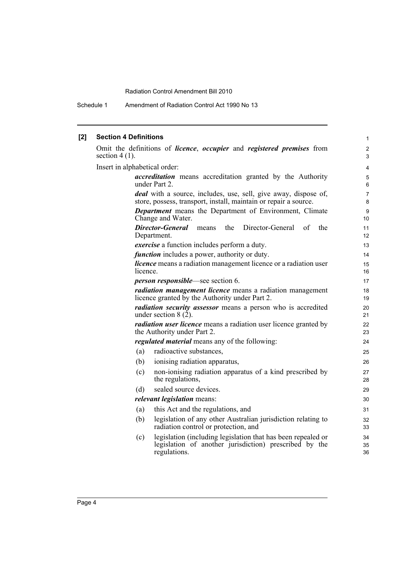Schedule 1 Amendment of Radiation Control Act 1990 No 13

#### **[2] Section 4 Definitions** Omit the definitions of *licence*, *occupier* and *registered premises* from section  $4(1)$ . Insert in alphabetical order: *accreditation* means accreditation granted by the Authority under Part 2. *deal* with a source, includes, use, sell, give away, dispose of, store, possess, transport, install, maintain or repair a source. *Department* means the Department of Environment, Climate Change and Water. *Director-General* means the Director-General of the Department. *exercise* a function includes perform a duty. *function* includes a power, authority or duty. *licence* means a radiation management licence or a radiation user licence. *person responsible*—see section 6. *radiation management licence* means a radiation management licence granted by the Authority under Part 2. *radiation security assessor* means a person who is accredited under section  $8(2)$ . *radiation user licence* means a radiation user licence granted by the Authority under Part 2. *regulated material* means any of the following: (a) radioactive substances, (b) ionising radiation apparatus, (c) non-ionising radiation apparatus of a kind prescribed by the regulations, (d) sealed source devices. *relevant legislation* means: (a) this Act and the regulations, and (b) legislation of any other Australian jurisdiction relating to radiation control or protection, and (c) legislation (including legislation that has been repealed or legislation of another jurisdiction) prescribed by the regulations. 1 2 3 4 5 6 7 8 9 10 11 12 13 14 15 16 17 18 19 20 21 22 23 24 25 26 27 28 29 30 31 32 33  $34$ 35 36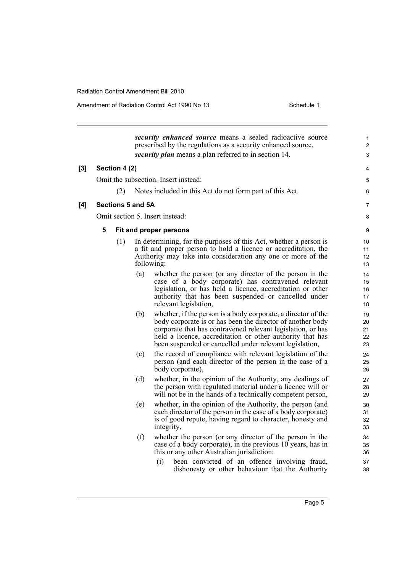Amendment of Radiation Control Act 1990 No 13 Schedule 1

*security enhanced source* means a sealed radioactive source prescribed by the regulations as a security enhanced source. *security plan* means a plan referred to in section 14. **[3] Section 4 (2)** Omit the subsection. Insert instead: (2) Notes included in this Act do not form part of this Act. **[4] Sections 5 and 5A** Omit section 5. Insert instead: **5 Fit and proper persons** (1) In determining, for the purposes of this Act, whether a person is a fit and proper person to hold a licence or accreditation, the Authority may take into consideration any one or more of the following: (a) whether the person (or any director of the person in the case of a body corporate) has contravened relevant legislation, or has held a licence, accreditation or other authority that has been suspended or cancelled under relevant legislation, (b) whether, if the person is a body corporate, a director of the body corporate is or has been the director of another body corporate that has contravened relevant legislation, or has held a licence, accreditation or other authority that has been suspended or cancelled under relevant legislation, (c) the record of compliance with relevant legislation of the person (and each director of the person in the case of a body corporate), (d) whether, in the opinion of the Authority, any dealings of the person with regulated material under a licence will or will not be in the hands of a technically competent person, (e) whether, in the opinion of the Authority, the person (and each director of the person in the case of a body corporate) is of good repute, having regard to character, honesty and integrity, (f) whether the person (or any director of the person in the case of a body corporate), in the previous  $10$  years, has in this or any other Australian jurisdiction: (i) been convicted of an offence involving fraud, dishonesty or other behaviour that the Authority 1 2 3 4 5 6 7 8 9 10 11 12 13 14 15 16 17 18 19 20 21 22 23 24 25 26 27 28 29 30 31 32 33  $34$ 35 36 37 38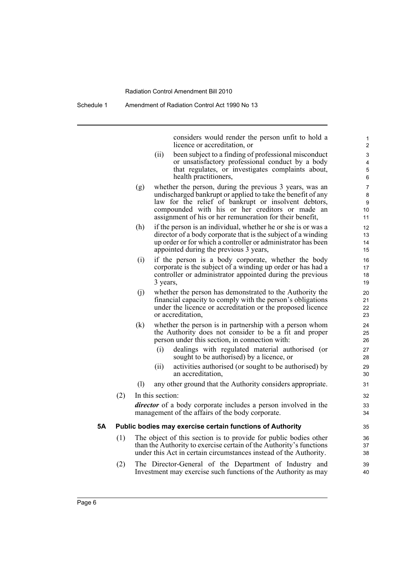Schedule 1 Amendment of Radiation Control Act 1990 No 13

considers would render the person unfit to hold a licence or accreditation, or

- (ii) been subject to a finding of professional misconduct or unsatisfactory professional conduct by a body that regulates, or investigates complaints about, health practitioners,
- (g) whether the person, during the previous 3 years, was an undischarged bankrupt or applied to take the benefit of any law for the relief of bankrupt or insolvent debtors, compounded with his or her creditors or made an assignment of his or her remuneration for their benefit,
- (h) if the person is an individual, whether he or she is or was a director of a body corporate that is the subject of a winding up order or for which a controller or administrator has been appointed during the previous 3 years,
- (i) if the person is a body corporate, whether the body corporate is the subject of a winding up order or has had a controller or administrator appointed during the previous 3 years,
- (j) whether the person has demonstrated to the Authority the financial capacity to comply with the person's obligations under the licence or accreditation or the proposed licence or accreditation,
- (k) whether the person is in partnership with a person whom the Authority does not consider to be a fit and proper person under this section, in connection with:
	- (i) dealings with regulated material authorised (or sought to be authorised) by a licence, or
	- (ii) activities authorised (or sought to be authorised) by an accreditation,
- (l) any other ground that the Authority considers appropriate.
- (2) In this section: *director* of a body corporate includes a person involved in the management of the affairs of the body corporate.

#### **5A Public bodies may exercise certain functions of Authority**

- (1) The object of this section is to provide for public bodies other than the Authority to exercise certain of the Authority's functions under this Act in certain circumstances instead of the Authority.
- (2) The Director-General of the Department of Industry and Investment may exercise such functions of the Authority as may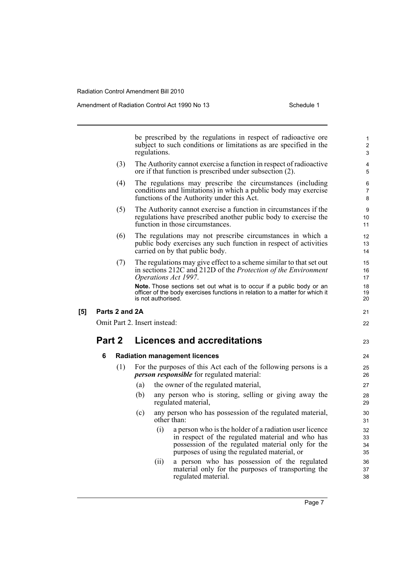|     |                |     | regulations.                 | be prescribed by the regulations in respect of radioactive ore<br>subject to such conditions or limitations as are specified in the                                                                                    | 1<br>$\overline{c}$<br>3 |
|-----|----------------|-----|------------------------------|------------------------------------------------------------------------------------------------------------------------------------------------------------------------------------------------------------------------|--------------------------|
|     |                | (3) |                              | The Authority cannot exercise a function in respect of radioactive<br>ore if that function is prescribed under subsection (2).                                                                                         | 4<br>5                   |
|     |                | (4) |                              | The regulations may prescribe the circumstances (including<br>conditions and limitations) in which a public body may exercise<br>functions of the Authority under this Act.                                            | 6<br>7<br>8              |
|     |                | (5) |                              | The Authority cannot exercise a function in circumstances if the<br>regulations have prescribed another public body to exercise the<br>function in those circumstances.                                                | 9<br>10<br>11            |
|     |                | (6) |                              | The regulations may not prescribe circumstances in which a<br>public body exercises any such function in respect of activities<br>carried on by that public body.                                                      | 12<br>13<br>14           |
|     |                | (7) |                              | The regulations may give effect to a scheme similar to that set out<br>in sections 212C and 212D of the Protection of the Environment<br>Operations Act 1997.                                                          | 15<br>16<br>17           |
|     |                |     | is not authorised.           | Note. Those sections set out what is to occur if a public body or an<br>officer of the body exercises functions in relation to a matter for which it                                                                   | 18<br>19<br>20           |
| [5] | Parts 2 and 2A |     |                              |                                                                                                                                                                                                                        | 21                       |
|     |                |     | Omit Part 2. Insert instead: |                                                                                                                                                                                                                        | 22                       |
|     | Part 2         |     |                              | <b>Licences and accreditations</b>                                                                                                                                                                                     | 23                       |
|     | 6              |     |                              | <b>Radiation management licences</b>                                                                                                                                                                                   | 24                       |
|     |                | (1) |                              | For the purposes of this Act each of the following persons is a<br><i>person responsible</i> for regulated material:                                                                                                   | 25<br>26                 |
|     |                |     | (a)                          | the owner of the regulated material,                                                                                                                                                                                   | 27                       |
|     |                |     | (b)                          | any person who is storing, selling or giving away the<br>regulated material,                                                                                                                                           | 28<br>29                 |
|     |                |     | (c)                          | any person who has possession of the regulated material,<br>other than:                                                                                                                                                | 30<br>31                 |
|     |                |     |                              | (i)<br>a person who is the holder of a radiation user licence<br>in respect of the regulated material and who has<br>possession of the regulated material only for the<br>purposes of using the regulated material, or | 32<br>33<br>34<br>35     |
|     |                |     |                              | a person who has possession of the regulated<br>(ii)<br>material only for the purposes of transporting the<br>regulated material.                                                                                      | 36<br>37<br>38           |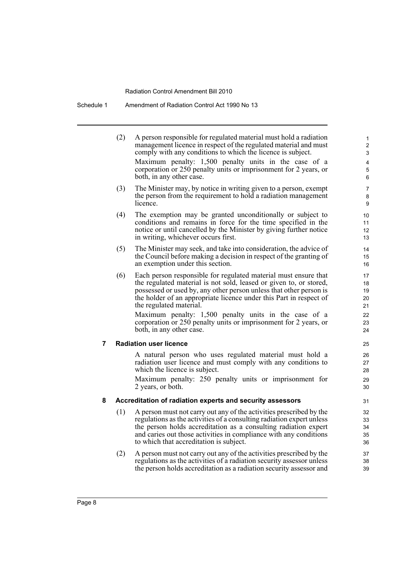# Schedule 1 Amendment of Radiation Control Act 1990 No 13

|   | (2) | A person responsible for regulated material must hold a radiation<br>management licence in respect of the regulated material and must<br>comply with any conditions to which the licence is subject.<br>Maximum penalty: 1,500 penalty units in the case of a<br>corporation or 250 penalty units or imprisonment for 2 years, or<br>both, in any other case.         | 1<br>$\overline{\mathbf{c}}$<br>3<br>$\overline{\mathbf{4}}$<br>5<br>6 |
|---|-----|-----------------------------------------------------------------------------------------------------------------------------------------------------------------------------------------------------------------------------------------------------------------------------------------------------------------------------------------------------------------------|------------------------------------------------------------------------|
|   | (3) | The Minister may, by notice in writing given to a person, exempt<br>the person from the requirement to hold a radiation management<br>licence.                                                                                                                                                                                                                        | 7<br>8<br>9                                                            |
|   | (4) | The exemption may be granted unconditionally or subject to<br>conditions and remains in force for the time specified in the<br>notice or until cancelled by the Minister by giving further notice<br>in writing, whichever occurs first.                                                                                                                              | 10<br>11<br>12<br>13                                                   |
|   | (5) | The Minister may seek, and take into consideration, the advice of<br>the Council before making a decision in respect of the granting of<br>an exemption under this section.                                                                                                                                                                                           | 14<br>15<br>16                                                         |
|   | (6) | Each person responsible for regulated material must ensure that<br>the regulated material is not sold, leased or given to, or stored,<br>possessed or used by, any other person unless that other person is<br>the holder of an appropriate licence under this Part in respect of<br>the regulated material.<br>Maximum penalty: 1,500 penalty units in the case of a | 17<br>18<br>19<br>20<br>21<br>22                                       |
|   |     | corporation or 250 penalty units or imprisonment for 2 years, or<br>both, in any other case.                                                                                                                                                                                                                                                                          | 23<br>24                                                               |
| 7 |     | <b>Radiation user licence</b>                                                                                                                                                                                                                                                                                                                                         | 25                                                                     |
|   |     | A natural person who uses regulated material must hold a<br>radiation user licence and must comply with any conditions to<br>which the licence is subject.<br>Maximum penalty: 250 penalty units or imprisonment for<br>2 years, or both.                                                                                                                             | 26<br>27<br>28<br>29<br>30                                             |
| 8 |     | Accreditation of radiation experts and security assessors                                                                                                                                                                                                                                                                                                             | 31                                                                     |
|   | (1) | A person must not carry out any of the activities prescribed by the<br>regulations as the activities of a consulting radiation expert unless<br>the person holds accreditation as a consulting radiation expert<br>and caries out those activities in compliance with any conditions<br>to which that accreditation is subject.                                       | 32<br>33<br>34<br>35<br>36                                             |
|   | (2) | A person must not carry out any of the activities prescribed by the<br>regulations as the activities of a radiation security assessor unless<br>the person holds accreditation as a radiation security assessor and                                                                                                                                                   | 37<br>38<br>39                                                         |
|   |     |                                                                                                                                                                                                                                                                                                                                                                       |                                                                        |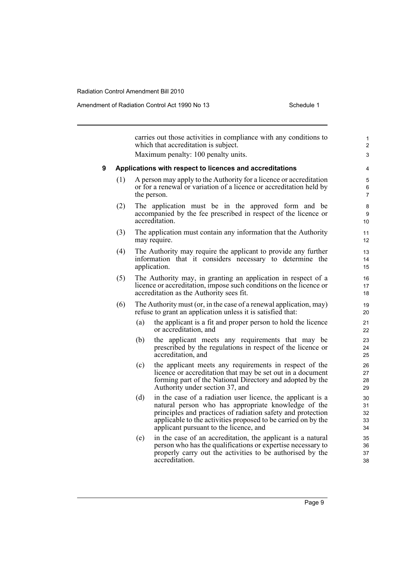|   |     |     | carries out those activities in compliance with any conditions to<br>which that accreditation is subject.                                                                                                                                                                                    | 1<br>$\overline{c}$        |
|---|-----|-----|----------------------------------------------------------------------------------------------------------------------------------------------------------------------------------------------------------------------------------------------------------------------------------------------|----------------------------|
|   |     |     | Maximum penalty: 100 penalty units.                                                                                                                                                                                                                                                          | 3                          |
| 9 |     |     | Applications with respect to licences and accreditations                                                                                                                                                                                                                                     | 4                          |
|   | (1) |     | A person may apply to the Authority for a licence or accreditation<br>or for a renewal or variation of a licence or accreditation held by<br>the person.                                                                                                                                     | 5<br>6<br>7                |
|   | (2) |     | The application must be in the approved form and be<br>accompanied by the fee prescribed in respect of the licence or<br>accreditation.                                                                                                                                                      | 8<br>9<br>10               |
|   | (3) |     | The application must contain any information that the Authority<br>may require.                                                                                                                                                                                                              | 11<br>12                   |
|   | (4) |     | The Authority may require the applicant to provide any further<br>information that it considers necessary to determine the<br>application.                                                                                                                                                   | 13<br>14<br>15             |
|   | (5) |     | The Authority may, in granting an application in respect of a<br>licence or accreditation, impose such conditions on the licence or<br>accreditation as the Authority sees fit.                                                                                                              | 16<br>17<br>18             |
|   | (6) |     | The Authority must (or, in the case of a renewal application, may)<br>refuse to grant an application unless it is satisfied that:                                                                                                                                                            | 19<br>20                   |
|   |     | (a) | the applicant is a fit and proper person to hold the licence<br>or accreditation, and                                                                                                                                                                                                        | 21<br>22                   |
|   |     | (b) | the applicant meets any requirements that may be<br>prescribed by the regulations in respect of the licence or<br>accreditation, and                                                                                                                                                         | 23<br>24<br>25             |
|   |     | (c) | the applicant meets any requirements in respect of the<br>licence or accreditation that may be set out in a document<br>forming part of the National Directory and adopted by the<br>Authority under section 37, and                                                                         | 26<br>27<br>28<br>29       |
|   |     | (d) | in the case of a radiation user licence, the applicant is a<br>natural person who has appropriate knowledge of the<br>principles and practices of radiation safety and protection<br>applicable to the activities proposed to be carried on by the<br>applicant pursuant to the licence, and | 30<br>31<br>32<br>33<br>34 |
|   |     | (e) | in the case of an accreditation, the applicant is a natural<br>person who has the qualifications or expertise necessary to<br>properly carry out the activities to be authorised by the<br>accreditation.                                                                                    | 35<br>36<br>37<br>38       |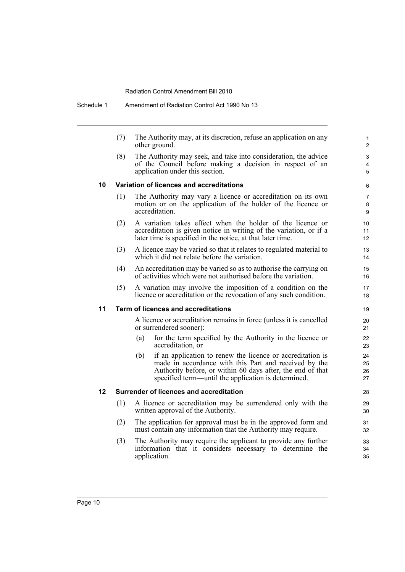Schedule 1 Amendment of Radiation Control Act 1990 No 13

| (7) | The Authority may, at its discretion, refuse an application on any |
|-----|--------------------------------------------------------------------|
|     | other ground.                                                      |

(8) The Authority may seek, and take into consideration, the advice of the Council before making a decision in respect of an application under this section.

### **10 Variation of licences and accreditations**

- (1) The Authority may vary a licence or accreditation on its own motion or on the application of the holder of the licence or accreditation.
- (2) A variation takes effect when the holder of the licence or accreditation is given notice in writing of the variation, or if a later time is specified in the notice, at that later time.
- (3) A licence may be varied so that it relates to regulated material to which it did not relate before the variation.
- (4) An accreditation may be varied so as to authorise the carrying on of activities which were not authorised before the variation.
- (5) A variation may involve the imposition of a condition on the licence or accreditation or the revocation of any such condition.

### **11 Term of licences and accreditations**

A licence or accreditation remains in force (unless it is cancelled or surrendered sooner):

- (a) for the term specified by the Authority in the licence or accreditation, or
- (b) if an application to renew the licence or accreditation is made in accordance with this Part and received by the Authority before, or within 60 days after, the end of that specified term—until the application is determined.

#### **12 Surrender of licences and accreditation**

- (1) A licence or accreditation may be surrendered only with the written approval of the Authority.
- (2) The application for approval must be in the approved form and must contain any information that the Authority may require.
- (3) The Authority may require the applicant to provide any further information that it considers necessary to determine the application.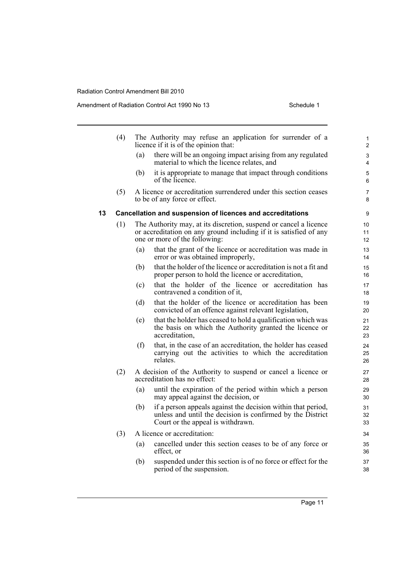|    | (4) |     | The Authority may refuse an application for surrender of a<br>licence if it is of the opinion that:                                                                      | 1<br>$\overline{c}$ |
|----|-----|-----|--------------------------------------------------------------------------------------------------------------------------------------------------------------------------|---------------------|
|    |     | (a) | there will be an ongoing impact arising from any regulated<br>material to which the licence relates, and                                                                 | 3<br>4              |
|    |     | (b) | it is appropriate to manage that impact through conditions<br>of the licence.                                                                                            | 5<br>6              |
|    | (5) |     | A licence or accreditation surrendered under this section ceases<br>to be of any force or effect.                                                                        | 7<br>8              |
| 13 |     |     | Cancellation and suspension of licences and accreditations                                                                                                               | 9                   |
|    | (1) |     | The Authority may, at its discretion, suspend or cancel a licence<br>or accreditation on any ground including if it is satisfied of any<br>one or more of the following: | 10<br>11<br>12      |
|    |     | (a) | that the grant of the licence or accreditation was made in<br>error or was obtained improperly,                                                                          | 13<br>14            |
|    |     | (b) | that the holder of the licence or accreditation is not a fit and<br>proper person to hold the licence or accreditation,                                                  | 15<br>16            |
|    |     | (c) | that the holder of the licence or accreditation has<br>contravened a condition of it,                                                                                    | 17<br>18            |
|    |     | (d) | that the holder of the licence or accreditation has been<br>convicted of an offence against relevant legislation,                                                        | 19<br>20            |
|    |     | (e) | that the holder has ceased to hold a qualification which was<br>the basis on which the Authority granted the licence or<br>accreditation,                                | 21<br>22<br>23      |
|    |     | (f) | that, in the case of an accreditation, the holder has ceased<br>carrying out the activities to which the accreditation<br>relates.                                       | 24<br>25<br>26      |
|    | (2) |     | A decision of the Authority to suspend or cancel a licence or<br>accreditation has no effect:                                                                            | 27<br>28            |
|    |     | (a) | until the expiration of the period within which a person<br>may appeal against the decision, or                                                                          | 29<br>30            |
|    |     | (b) | if a person appeals against the decision within that period,<br>unless and until the decision is confirmed by the District<br>Court or the appeal is withdrawn.          | 31<br>32<br>33      |
|    | (3) |     | A licence or accreditation:                                                                                                                                              | 34                  |
|    |     | (a) | cancelled under this section ceases to be of any force or<br>effect, or                                                                                                  | 35<br>36            |
|    |     | (b) | suspended under this section is of no force or effect for the<br>period of the suspension.                                                                               | 37<br>38            |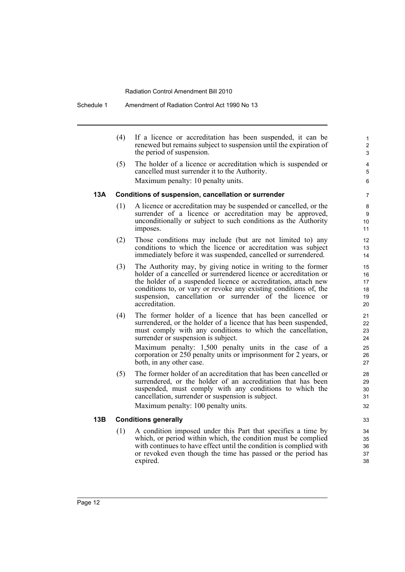#### Schedule 1 Amendment of Radiation Control Act 1990 No 13

(4) If a licence or accreditation has been suspended, it can be renewed but remains subject to suspension until the expiration of the period of suspension. (5) The holder of a licence or accreditation which is suspended or cancelled must surrender it to the Authority. Maximum penalty: 10 penalty units. **13A Conditions of suspension, cancellation or surrender** (1) A licence or accreditation may be suspended or cancelled, or the surrender of a licence or accreditation may be approved, unconditionally or subject to such conditions as the Authority imposes. (2) Those conditions may include (but are not limited to) any conditions to which the licence or accreditation was subject immediately before it was suspended, cancelled or surrendered. (3) The Authority may, by giving notice in writing to the former holder of a cancelled or surrendered licence or accreditation or the holder of a suspended licence or accreditation, attach new conditions to, or vary or revoke any existing conditions of, the suspension, cancellation or surrender of the licence or accreditation. (4) The former holder of a licence that has been cancelled or surrendered, or the holder of a licence that has been suspended, must comply with any conditions to which the cancellation, surrender or suspension is subject. Maximum penalty: 1,500 penalty units in the case of a corporation or 250 penalty units or imprisonment for 2 years, or both, in any other case. (5) The former holder of an accreditation that has been cancelled or surrendered, or the holder of an accreditation that has been suspended, must comply with any conditions to which the cancellation, surrender or suspension is subject. Maximum penalty: 100 penalty units. **13B Conditions generally** (1) A condition imposed under this Part that specifies a time by which, or period within which, the condition must be complied

> with continues to have effect until the condition is complied with or revoked even though the time has passed or the period has

35 36 37

38

expired.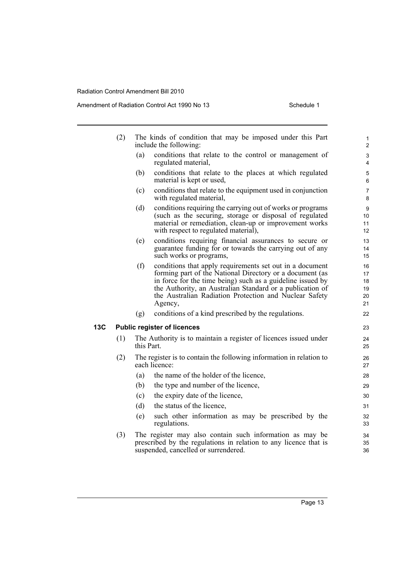|     | (2)                                | The kinds of condition that may be imposed under this Part<br>include the following:                                                                                                                                                                                                                                        | 1<br>$\overline{2}$              |  |  |  |
|-----|------------------------------------|-----------------------------------------------------------------------------------------------------------------------------------------------------------------------------------------------------------------------------------------------------------------------------------------------------------------------------|----------------------------------|--|--|--|
|     |                                    | (a)<br>conditions that relate to the control or management of<br>regulated material,                                                                                                                                                                                                                                        | 3<br>4                           |  |  |  |
|     |                                    | (b)<br>conditions that relate to the places at which regulated<br>material is kept or used,                                                                                                                                                                                                                                 | 5<br>6                           |  |  |  |
|     |                                    | conditions that relate to the equipment used in conjunction<br>(c)<br>with regulated material,                                                                                                                                                                                                                              | $\overline{7}$<br>8              |  |  |  |
|     |                                    | conditions requiring the carrying out of works or programs<br>(d)<br>(such as the securing, storage or disposal of regulated<br>material or remediation, clean-up or improvement works<br>with respect to regulated material),                                                                                              | 9<br>10<br>11<br>12              |  |  |  |
|     |                                    | conditions requiring financial assurances to secure or<br>(e)<br>guarantee funding for or towards the carrying out of any<br>such works or programs,                                                                                                                                                                        | 13<br>14<br>15                   |  |  |  |
|     |                                    | conditions that apply requirements set out in a document<br>(f)<br>forming part of the National Directory or a document (as<br>in force for the time being) such as a guideline issued by<br>the Authority, an Australian Standard or a publication of<br>the Australian Radiation Protection and Nuclear Safety<br>Agency, | 16<br>17<br>18<br>19<br>20<br>21 |  |  |  |
|     |                                    | conditions of a kind prescribed by the regulations.<br>(g)                                                                                                                                                                                                                                                                  | 22                               |  |  |  |
| 13C | <b>Public register of licences</b> |                                                                                                                                                                                                                                                                                                                             |                                  |  |  |  |
|     | (1)                                | The Authority is to maintain a register of licences issued under<br>this Part.                                                                                                                                                                                                                                              | 24<br>25                         |  |  |  |
|     | (2)                                | The register is to contain the following information in relation to<br>each licence:                                                                                                                                                                                                                                        | 26<br>27                         |  |  |  |
|     |                                    | the name of the holder of the licence,<br>(a)                                                                                                                                                                                                                                                                               | 28                               |  |  |  |
|     |                                    | the type and number of the licence,<br>(b)                                                                                                                                                                                                                                                                                  | 29                               |  |  |  |
|     |                                    | the expiry date of the licence,<br>(c)                                                                                                                                                                                                                                                                                      | 30                               |  |  |  |
|     |                                    | (d)<br>the status of the licence,                                                                                                                                                                                                                                                                                           | 31                               |  |  |  |
|     |                                    | such other information as may be prescribed by the<br>(e)<br>regulations.                                                                                                                                                                                                                                                   | 32<br>33                         |  |  |  |
|     | (3)                                | The register may also contain such information as may be<br>prescribed by the regulations in relation to any licence that is<br>suspended, cancelled or surrendered.                                                                                                                                                        | 34<br>35<br>36                   |  |  |  |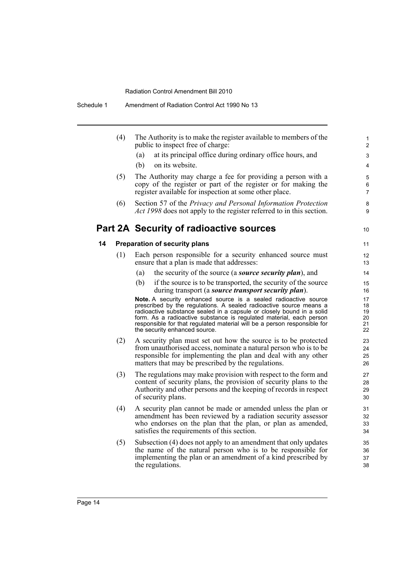|    | (4) | The Authority is to make the register available to members of the<br>public to inspect free of charge:                                                                                                                                                                                                                                                                                             | 1<br>$\overline{c}$              |
|----|-----|----------------------------------------------------------------------------------------------------------------------------------------------------------------------------------------------------------------------------------------------------------------------------------------------------------------------------------------------------------------------------------------------------|----------------------------------|
|    |     | at its principal office during ordinary office hours, and<br>(a)                                                                                                                                                                                                                                                                                                                                   | 3                                |
|    |     | (b)<br>on its website.                                                                                                                                                                                                                                                                                                                                                                             | $\overline{4}$                   |
|    | (5) | The Authority may charge a fee for providing a person with a<br>copy of the register or part of the register or for making the<br>register available for inspection at some other place.                                                                                                                                                                                                           | 5<br>6<br>$\overline{7}$         |
|    | (6) | Section 57 of the Privacy and Personal Information Protection<br>Act 1998 does not apply to the register referred to in this section.                                                                                                                                                                                                                                                              | 8<br>9                           |
|    |     | Part 2A Security of radioactive sources                                                                                                                                                                                                                                                                                                                                                            | 10                               |
| 14 |     | <b>Preparation of security plans</b>                                                                                                                                                                                                                                                                                                                                                               | 11                               |
|    | (1) | Each person responsible for a security enhanced source must<br>ensure that a plan is made that addresses:                                                                                                                                                                                                                                                                                          | 12<br>13                         |
|    |     | the security of the source (a <b><i>source security plan</i></b> ), and<br>(a)                                                                                                                                                                                                                                                                                                                     | 14                               |
|    |     | (b)<br>if the source is to be transported, the security of the source<br>during transport (a <i>source transport security plan</i> ).                                                                                                                                                                                                                                                              | 15<br>16                         |
|    |     | Note. A security enhanced source is a sealed radioactive source<br>prescribed by the regulations. A sealed radioactive source means a<br>radioactive substance sealed in a capsule or closely bound in a solid<br>form. As a radioactive substance is regulated material, each person<br>responsible for that regulated material will be a person responsible for<br>the security enhanced source. | 17<br>18<br>19<br>20<br>21<br>22 |
|    | (2) | A security plan must set out how the source is to be protected<br>from unauthorised access, nominate a natural person who is to be<br>responsible for implementing the plan and deal with any other<br>matters that may be prescribed by the regulations.                                                                                                                                          | 23<br>24<br>25<br>26             |
|    | (3) | The regulations may make provision with respect to the form and<br>content of security plans, the provision of security plans to the<br>Authority and other persons and the keeping of records in respect                                                                                                                                                                                          | 27<br>28<br>29                   |

Authority and other persons and the keeping of records in respect of security plans. (4) A security plan cannot be made or amended unless the plan or amendment has been reviewed by a radiation security assessor who endorses on the plan that the plan, or plan as amended,

satisfies the requirements of this section.

(5) Subsection (4) does not apply to an amendment that only updates the name of the natural person who is to be responsible for implementing the plan or an amendment of a kind prescribed by the regulations.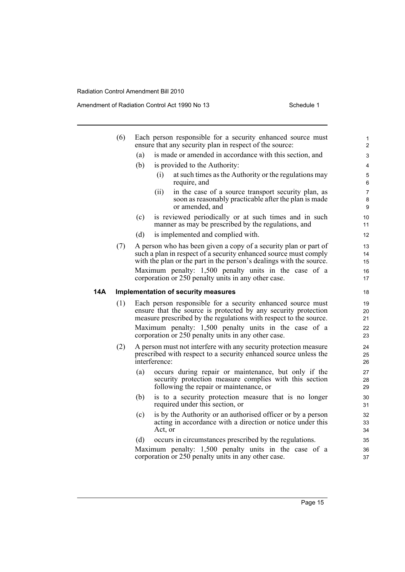|     | (6) |     | Each person responsible for a security enhanced source must<br>ensure that any security plan in respect of the source:                                                                                                                                                                                             | $\mathbf{1}$<br>2          |
|-----|-----|-----|--------------------------------------------------------------------------------------------------------------------------------------------------------------------------------------------------------------------------------------------------------------------------------------------------------------------|----------------------------|
|     |     | (a) | is made or amended in accordance with this section, and                                                                                                                                                                                                                                                            | 3                          |
|     |     | (b) | is provided to the Authority:                                                                                                                                                                                                                                                                                      | 4                          |
|     |     |     | at such times as the Authority or the regulations may<br>(i)<br>require, and                                                                                                                                                                                                                                       | 5<br>6                     |
|     |     |     | (ii)<br>in the case of a source transport security plan, as<br>soon as reasonably practicable after the plan is made<br>or amended, and                                                                                                                                                                            | 7<br>8<br>9                |
|     |     | (c) | is reviewed periodically or at such times and in such<br>manner as may be prescribed by the regulations, and                                                                                                                                                                                                       | 10<br>11                   |
|     |     | (d) | is implemented and complied with.                                                                                                                                                                                                                                                                                  | 12                         |
|     | (7) |     | A person who has been given a copy of a security plan or part of<br>such a plan in respect of a security enhanced source must comply<br>with the plan or the part in the person's dealings with the source.                                                                                                        | 13<br>14<br>15             |
|     |     |     | Maximum penalty: 1,500 penalty units in the case of a<br>corporation or 250 penalty units in any other case.                                                                                                                                                                                                       | 16<br>17                   |
| 14A |     |     | <b>Implementation of security measures</b>                                                                                                                                                                                                                                                                         | 18                         |
|     | (1) |     | Each person responsible for a security enhanced source must<br>ensure that the source is protected by any security protection<br>measure prescribed by the regulations with respect to the source.<br>Maximum penalty: 1,500 penalty units in the case of a<br>corporation or 250 penalty units in any other case. | 19<br>20<br>21<br>22<br>23 |
|     | (2) |     | A person must not interfere with any security protection measure<br>prescribed with respect to a security enhanced source unless the<br>interference:                                                                                                                                                              | 24<br>25<br>26             |
|     |     | (a) | occurs during repair or maintenance, but only if the<br>security protection measure complies with this section<br>following the repair or maintenance, or                                                                                                                                                          | 27<br>28<br>29             |
|     |     | (b) | is to a security protection measure that is no longer<br>required under this section, or                                                                                                                                                                                                                           | $30\,$<br>31               |
|     |     | (c) | is by the Authority or an authorised officer or by a person<br>acting in accordance with a direction or notice under this<br>Act, or                                                                                                                                                                               | 32<br>33<br>34             |
|     |     | (d) | occurs in circumstances prescribed by the regulations.                                                                                                                                                                                                                                                             | 35                         |
|     |     |     | Maximum penalty: 1,500 penalty units in the case of a<br>corporation or 250 penalty units in any other case.                                                                                                                                                                                                       | 36<br>37                   |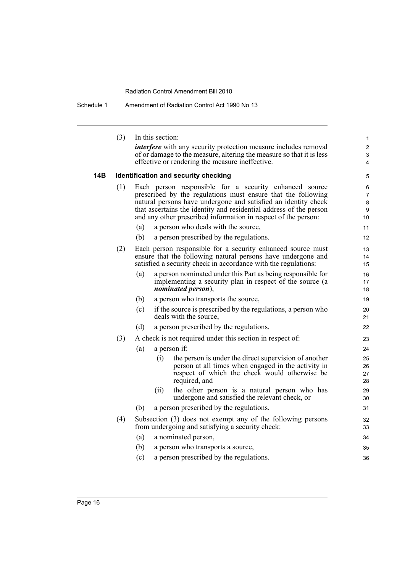Schedule 1 Amendment of Radiation Control Act 1990 No 13

|     | (3) | In this section:                                                                                                               | $\mathbf{1}$     |
|-----|-----|--------------------------------------------------------------------------------------------------------------------------------|------------------|
|     |     | <i>interfere</i> with any security protection measure includes removal                                                         | $\boldsymbol{2}$ |
|     |     | of or damage to the measure, altering the measure so that it is less<br>effective or rendering the measure ineffective.        | 3<br>4           |
|     |     |                                                                                                                                |                  |
| 14B |     | Identification and security checking                                                                                           | 5                |
|     | (1) | Each person responsible for a security enhanced source                                                                         | 6                |
|     |     | prescribed by the regulations must ensure that the following<br>natural persons have undergone and satisfied an identity check | 7<br>8           |
|     |     | that ascertains the identity and residential address of the person                                                             | 9                |
|     |     | and any other prescribed information in respect of the person:                                                                 | 10               |
|     |     | a person who deals with the source,<br>(a)                                                                                     | 11               |
|     |     | (b)<br>a person prescribed by the regulations.                                                                                 | 12               |
|     | (2) | Each person responsible for a security enhanced source must                                                                    | 13               |
|     |     | ensure that the following natural persons have undergone and                                                                   | 14               |
|     |     | satisfied a security check in accordance with the regulations:                                                                 | 15               |
|     |     | (a)<br>a person nominated under this Part as being responsible for<br>implementing a security plan in respect of the source (a | 16<br>17         |
|     |     | <i>nominated person</i> ),                                                                                                     | 18               |
|     |     | (b)<br>a person who transports the source,                                                                                     | 19               |
|     |     | (c)<br>if the source is prescribed by the regulations, a person who                                                            | 20               |
|     |     | deals with the source,                                                                                                         | 21               |
|     |     | (d)<br>a person prescribed by the regulations.                                                                                 | 22               |
|     | (3) | A check is not required under this section in respect of:                                                                      | 23               |
|     |     | (a)<br>a person if:                                                                                                            | 24               |
|     |     | the person is under the direct supervision of another<br>(i)                                                                   | 25               |
|     |     | person at all times when engaged in the activity in<br>respect of which the check would otherwise be                           | 26<br>27         |
|     |     | required, and                                                                                                                  | 28               |
|     |     | the other person is a natural person who has<br>(ii)                                                                           | 29               |
|     |     | undergone and satisfied the relevant check, or                                                                                 | 30               |
|     |     | (b)<br>a person prescribed by the regulations.                                                                                 | 31               |
|     | (4) | Subsection (3) does not exempt any of the following persons<br>from undergoing and satisfying a security check:                | 32<br>33         |
|     |     | (a)<br>a nominated person,                                                                                                     | 34               |
|     |     | (b)<br>a person who transports a source,                                                                                       | 35               |
|     |     | (c)<br>a person prescribed by the regulations.                                                                                 | 36               |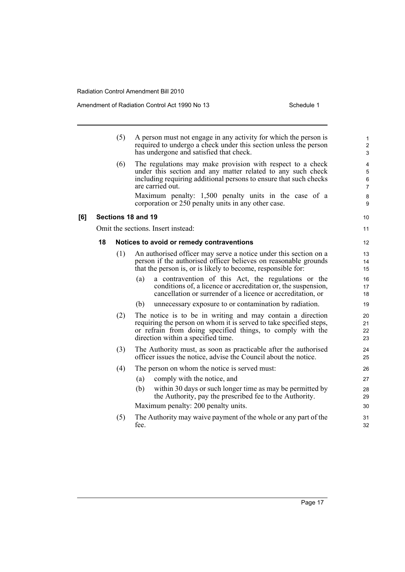|     |    | (5) | A person must not engage in any activity for which the person is<br>required to undergo a check under this section unless the person<br>has undergone and satisfied that check.                                                                                             | $\mathbf{1}$<br>$\overline{c}$<br>3                                      |
|-----|----|-----|-----------------------------------------------------------------------------------------------------------------------------------------------------------------------------------------------------------------------------------------------------------------------------|--------------------------------------------------------------------------|
|     |    | (6) | The regulations may make provision with respect to a check<br>under this section and any matter related to any such check<br>including requiring additional persons to ensure that such checks<br>are carried out.<br>Maximum penalty: 1,500 penalty units in the case of a | $\overline{\mathbf{4}}$<br>$\mathbf 5$<br>$\,6\,$<br>$\overline{7}$<br>8 |
|     |    |     | corporation or 250 penalty units in any other case.                                                                                                                                                                                                                         | 9                                                                        |
| [6] |    |     | Sections 18 and 19                                                                                                                                                                                                                                                          | 10                                                                       |
|     |    |     | Omit the sections. Insert instead:                                                                                                                                                                                                                                          | 11                                                                       |
|     | 18 |     | Notices to avoid or remedy contraventions                                                                                                                                                                                                                                   | 12                                                                       |
|     |    | (1) | An authorised officer may serve a notice under this section on a<br>person if the authorised officer believes on reasonable grounds<br>that the person is, or is likely to become, responsible for:                                                                         | 13<br>14<br>15                                                           |
|     |    |     | a contravention of this Act, the regulations or the<br>(a)<br>conditions of, a licence or accreditation or, the suspension,<br>cancellation or surrender of a licence or accreditation, or                                                                                  | 16<br>17<br>18                                                           |
|     |    |     | unnecessary exposure to or contamination by radiation.<br>(b)                                                                                                                                                                                                               | 19                                                                       |
|     |    | (2) | The notice is to be in writing and may contain a direction<br>requiring the person on whom it is served to take specified steps,<br>or refrain from doing specified things, to comply with the<br>direction within a specified time.                                        | 20<br>21<br>22<br>23                                                     |
|     |    | (3) | The Authority must, as soon as practicable after the authorised<br>officer issues the notice, advise the Council about the notice.                                                                                                                                          | 24<br>25                                                                 |
|     |    | (4) | The person on whom the notice is served must:                                                                                                                                                                                                                               | 26                                                                       |
|     |    |     | (a)<br>comply with the notice, and                                                                                                                                                                                                                                          | 27                                                                       |
|     |    |     | within 30 days or such longer time as may be permitted by<br>(b)<br>the Authority, pay the prescribed fee to the Authority.                                                                                                                                                 | 28<br>29                                                                 |
|     |    |     | Maximum penalty: 200 penalty units.                                                                                                                                                                                                                                         | 30                                                                       |
|     |    | (5) | The Authority may waive payment of the whole or any part of the<br>fee.                                                                                                                                                                                                     | 31<br>32                                                                 |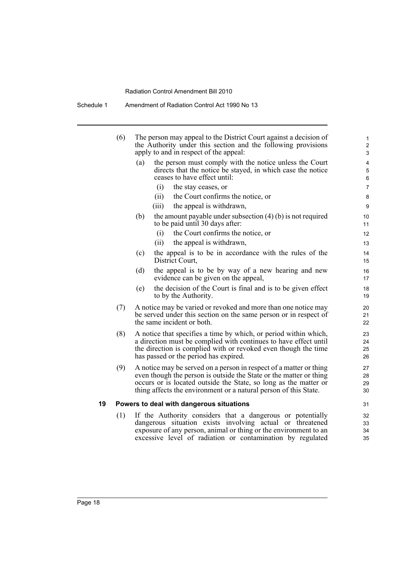Schedule 1 Amendment of Radiation Control Act 1990 No 13

|    | (6) |     | The person may appeal to the District Court against a decision of<br>the Authority under this section and the following provisions<br>apply to and in respect of the appeal:                                                                                                     | $\mathbf 1$<br>$\overline{c}$<br>3 |
|----|-----|-----|----------------------------------------------------------------------------------------------------------------------------------------------------------------------------------------------------------------------------------------------------------------------------------|------------------------------------|
|    |     | (a) | the person must comply with the notice unless the Court<br>directs that the notice be stayed, in which case the notice<br>ceases to have effect until:                                                                                                                           | 4<br>5<br>6                        |
|    |     |     | (i)<br>the stay ceases, or                                                                                                                                                                                                                                                       | $\overline{7}$                     |
|    |     |     | the Court confirms the notice, or<br>(ii)                                                                                                                                                                                                                                        | 8                                  |
|    |     |     | the appeal is withdrawn,<br>(iii)                                                                                                                                                                                                                                                | 9                                  |
|    |     | (b) | the amount payable under subsection $(4)$ (b) is not required<br>to be paid until 30 days after:                                                                                                                                                                                 | 10<br>11                           |
|    |     |     | the Court confirms the notice, or<br>(i)                                                                                                                                                                                                                                         | 12                                 |
|    |     |     | the appeal is withdrawn,<br>(ii)                                                                                                                                                                                                                                                 | 13                                 |
|    |     | (c) | the appeal is to be in accordance with the rules of the<br>District Court,                                                                                                                                                                                                       | 14<br>15                           |
|    |     | (d) | the appeal is to be by way of a new hearing and new<br>evidence can be given on the appeal,                                                                                                                                                                                      | 16<br>17                           |
|    |     | (e) | the decision of the Court is final and is to be given effect<br>to by the Authority.                                                                                                                                                                                             | 18<br>19                           |
|    | (7) |     | A notice may be varied or revoked and more than one notice may<br>be served under this section on the same person or in respect of<br>the same incident or both.                                                                                                                 | 20<br>21<br>22                     |
|    | (8) |     | A notice that specifies a time by which, or period within which,<br>a direction must be complied with continues to have effect until<br>the direction is complied with or revoked even though the time<br>has passed or the period has expired.                                  | 23<br>24<br>25<br>26               |
|    | (9) |     | A notice may be served on a person in respect of a matter or thing<br>even though the person is outside the State or the matter or thing<br>occurs or is located outside the State, so long as the matter or<br>thing affects the environment or a natural person of this State. | 27<br>28<br>29<br>30               |
| 19 |     |     | Powers to deal with dangerous situations                                                                                                                                                                                                                                         | 31                                 |
|    | (1) |     | If the Authority considers that a dangerous or potentially<br>dangerous situation exists involving actual or threatened<br>exposure of any person, animal or thing or the environment to an<br>excessive level of radiation or contamination by regulated                        | 32<br>33<br>34<br>35               |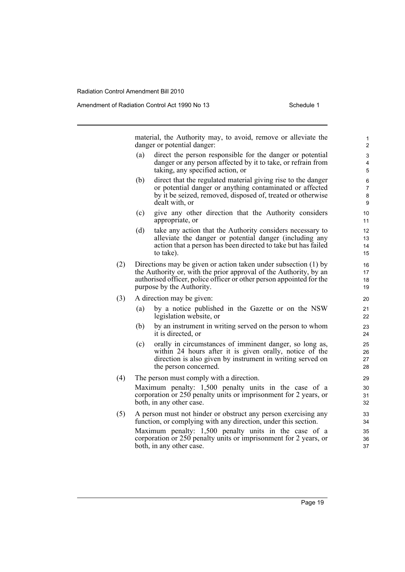Amendment of Radiation Control Act 1990 No 13 Schedule 1

material, the Authority may, to avoid, remove or alleviate the danger or potential danger:

- (a) direct the person responsible for the danger or potential danger or any person affected by it to take, or refrain from taking, any specified action, or
- (b) direct that the regulated material giving rise to the danger or potential danger or anything contaminated or affected by it be seized, removed, disposed of, treated or otherwise dealt with, or
- (c) give any other direction that the Authority considers appropriate, or
- (d) take any action that the Authority considers necessary to alleviate the danger or potential danger (including any action that a person has been directed to take but has failed to take).
- (2) Directions may be given or action taken under subsection (1) by the Authority or, with the prior approval of the Authority, by an authorised officer, police officer or other person appointed for the purpose by the Authority.
- (3) A direction may be given:
	- (a) by a notice published in the Gazette or on the NSW legislation website, or
	- (b) by an instrument in writing served on the person to whom it is directed, or
	- (c) orally in circumstances of imminent danger, so long as, within 24 hours after it is given orally, notice of the direction is also given by instrument in writing served on the person concerned.
- (4) The person must comply with a direction. Maximum penalty: 1,500 penalty units in the case of a corporation or 250 penalty units or imprisonment for 2 years, or both, in any other case.
- (5) A person must not hinder or obstruct any person exercising any function, or complying with any direction, under this section. Maximum penalty: 1,500 penalty units in the case of a corporation or 250 penalty units or imprisonment for 2 years, or both, in any other case.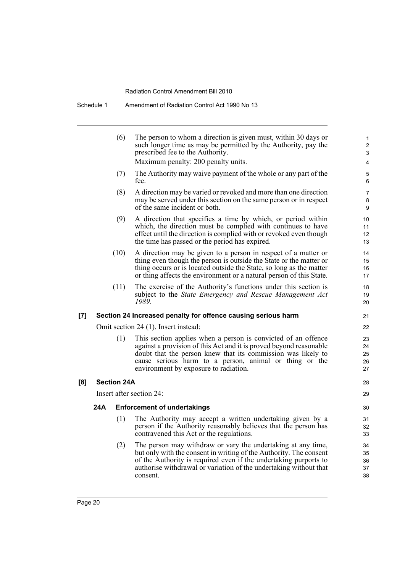Schedule 1 Amendment of Radiation Control Act 1990 No 13

|     |                          | (6)                | The person to whom a direction is given must, within 30 days or<br>such longer time as may be permitted by the Authority, pay the<br>prescribed fee to the Authority.<br>Maximum penalty: 200 penalty units.                                                                                           | 1<br>$\overline{c}$<br>3<br>4 |  |  |  |
|-----|--------------------------|--------------------|--------------------------------------------------------------------------------------------------------------------------------------------------------------------------------------------------------------------------------------------------------------------------------------------------------|-------------------------------|--|--|--|
|     |                          | (7)                | The Authority may waive payment of the whole or any part of the<br>fee.                                                                                                                                                                                                                                | 5<br>6                        |  |  |  |
|     |                          | (8)                | A direction may be varied or revoked and more than one direction<br>may be served under this section on the same person or in respect<br>of the same incident or both.                                                                                                                                 | $\overline{7}$<br>8<br>9      |  |  |  |
|     |                          | (9)                | A direction that specifies a time by which, or period within<br>which, the direction must be complied with continues to have<br>effect until the direction is complied with or revoked even though<br>the time has passed or the period has expired.                                                   | 10<br>11<br>12<br>13          |  |  |  |
|     |                          | (10)               | A direction may be given to a person in respect of a matter or<br>thing even though the person is outside the State or the matter or<br>thing occurs or is located outside the State, so long as the matter<br>or thing affects the environment or a natural person of this State.                     | 14<br>15<br>16<br>17          |  |  |  |
|     |                          | (11)               | The exercise of the Authority's functions under this section is<br>subject to the <i>State Emergency and Rescue Management Act</i><br>1989.                                                                                                                                                            | 18<br>19<br>20                |  |  |  |
| [7] |                          |                    | Section 24 Increased penalty for offence causing serious harm                                                                                                                                                                                                                                          | 21                            |  |  |  |
|     |                          |                    | Omit section 24 (1). Insert instead:                                                                                                                                                                                                                                                                   | 22                            |  |  |  |
|     |                          | (1)                | This section applies when a person is convicted of an offence<br>against a provision of this Act and it is proved beyond reasonable<br>doubt that the person knew that its commission was likely to<br>cause serious harm to a person, animal or thing or the<br>environment by exposure to radiation. | 23<br>24<br>25<br>26<br>27    |  |  |  |
| [8] |                          | <b>Section 24A</b> |                                                                                                                                                                                                                                                                                                        | 28                            |  |  |  |
|     | Insert after section 24: |                    |                                                                                                                                                                                                                                                                                                        |                               |  |  |  |
|     | 24A                      |                    | <b>Enforcement of undertakings</b>                                                                                                                                                                                                                                                                     | 30                            |  |  |  |
|     |                          | (1)                | The Authority may accept a written undertaking given by a<br>person if the Authority reasonably believes that the person has<br>contravened this Act or the regulations.                                                                                                                               | 31<br>32<br>33                |  |  |  |
|     |                          | (2)                | The person may withdraw or vary the undertaking at any time,<br>but only with the consent in writing of the Authority. The consent<br>of the Authority is required even if the undertaking purports to<br>authorise withdrawal or variation of the undertaking without that<br>consent.                | 34<br>35<br>36<br>37<br>38    |  |  |  |

**[8]**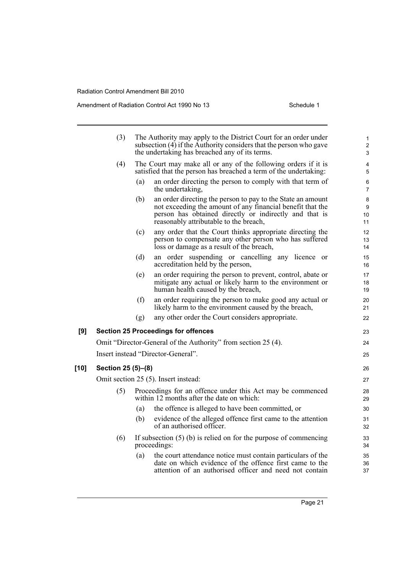|        | (3)                                  |     | The Authority may apply to the District Court for an order under<br>subsection $(4)$ if the Authority considers that the person who gave<br>the undertaking has breached any of its terms.                                    | 1<br>$\overline{c}$<br>3 |  |  |
|--------|--------------------------------------|-----|-------------------------------------------------------------------------------------------------------------------------------------------------------------------------------------------------------------------------------|--------------------------|--|--|
|        | (4)                                  |     | The Court may make all or any of the following orders if it is<br>satisfied that the person has breached a term of the undertaking:                                                                                           | 4<br>5                   |  |  |
|        |                                      | (a) | an order directing the person to comply with that term of<br>the undertaking.                                                                                                                                                 | 6<br>$\overline{7}$      |  |  |
|        |                                      | (b) | an order directing the person to pay to the State an amount<br>not exceeding the amount of any financial benefit that the<br>person has obtained directly or indirectly and that is<br>reasonably attributable to the breach, | 8<br>9<br>10<br>11       |  |  |
|        |                                      | (c) | any order that the Court thinks appropriate directing the<br>person to compensate any other person who has suffered<br>loss or damage as a result of the breach,                                                              | 12<br>13<br>14           |  |  |
|        |                                      | (d) | an order suspending or cancelling any licence or<br>accreditation held by the person,                                                                                                                                         | 15<br>16                 |  |  |
|        |                                      | (e) | an order requiring the person to prevent, control, abate or<br>mitigate any actual or likely harm to the environment or<br>human health caused by the breach,                                                                 | 17<br>18<br>19           |  |  |
|        |                                      | (f) | an order requiring the person to make good any actual or<br>likely harm to the environment caused by the breach,                                                                                                              | 20<br>21                 |  |  |
|        |                                      | (g) | any other order the Court considers appropriate.                                                                                                                                                                              | 22                       |  |  |
| [9]    |                                      |     | <b>Section 25 Proceedings for offences</b>                                                                                                                                                                                    | 23                       |  |  |
|        |                                      |     | Omit "Director-General of the Authority" from section 25 (4).                                                                                                                                                                 | 24                       |  |  |
|        |                                      |     | Insert instead "Director-General".                                                                                                                                                                                            | 25                       |  |  |
| $[10]$ | Section 25 (5)-(8)                   |     |                                                                                                                                                                                                                               | 26                       |  |  |
|        | Omit section 25 (5). Insert instead: |     |                                                                                                                                                                                                                               |                          |  |  |
|        | (5)                                  |     | Proceedings for an offence under this Act may be commenced<br>within 12 months after the date on which:                                                                                                                       | 28<br>29                 |  |  |
|        |                                      | (a) | the offence is alleged to have been committed, or                                                                                                                                                                             | 30                       |  |  |
|        |                                      | (b) | evidence of the alleged offence first came to the attention<br>of an authorised officer.                                                                                                                                      | 31<br>32                 |  |  |
|        | (6)                                  |     | If subsection $(5)$ (b) is relied on for the purpose of commencing<br>proceedings:                                                                                                                                            | 33<br>34                 |  |  |
|        |                                      | (a) | the court attendance notice must contain particulars of the<br>date on which evidence of the offence first came to the<br>attention of an authorised officer and need not contain                                             | 35<br>36<br>37           |  |  |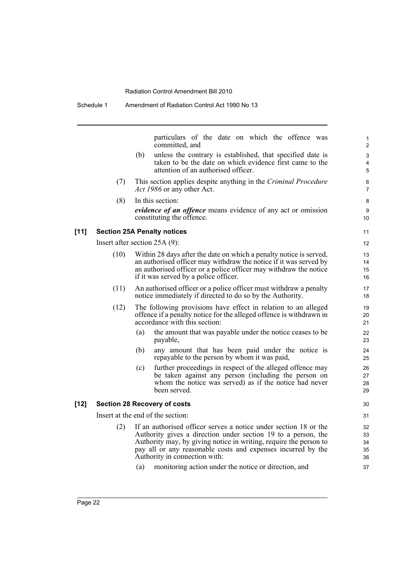|        | oonegae i | Allieliulielii vi Raulativit Colitivi Act 1990 NO 10                                                                                                                                                                                                                                                    |
|--------|-----------|---------------------------------------------------------------------------------------------------------------------------------------------------------------------------------------------------------------------------------------------------------------------------------------------------------|
|        |           | particulars of the date on which the offence was<br>committed, and                                                                                                                                                                                                                                      |
|        |           | unless the contrary is established, that specified date is<br>(b)<br>taken to be the date on which evidence first came to the<br>attention of an authorised officer.                                                                                                                                    |
|        | (7)       | This section applies despite anything in the Criminal Procedure<br>Act 1986 or any other Act.                                                                                                                                                                                                           |
|        | (8)       | In this section:<br><i>evidence of an offence</i> means evidence of any act or omission<br>constituting the offence.                                                                                                                                                                                    |
| $[11]$ |           | <b>Section 25A Penalty notices</b>                                                                                                                                                                                                                                                                      |
|        |           | Insert after section $25A(9)$ :                                                                                                                                                                                                                                                                         |
|        | (10)      | Within 28 days after the date on which a penalty notice is served,<br>an authorised officer may withdraw the notice if it was served by<br>an authorised officer or a police officer may withdraw the notice<br>if it was served by a police officer.                                                   |
|        | (11)      | An authorised officer or a police officer must withdraw a penalty<br>notice immediately if directed to do so by the Authority.                                                                                                                                                                          |
|        | (12)      | The following provisions have effect in relation to an alleged<br>offence if a penalty notice for the alleged offence is withdrawn in<br>accordance with this section:                                                                                                                                  |
|        |           | the amount that was payable under the notice ceases to be<br>(a)<br>payable,                                                                                                                                                                                                                            |
|        |           | any amount that has been paid under the notice is<br>(b)<br>repayable to the person by whom it was paid,                                                                                                                                                                                                |
|        |           | further proceedings in respect of the alleged offence may<br>(c)<br>be taken against any person (including the person on<br>whom the notice was served) as if the notice had never<br>been served.                                                                                                      |
| [12]   |           | <b>Section 28 Recovery of costs</b>                                                                                                                                                                                                                                                                     |
|        |           | Insert at the end of the section:                                                                                                                                                                                                                                                                       |
|        | (2)       | If an authorised officer serves a notice under section 18 or the<br>Authority gives a direction under section 19 to a person, the<br>Authority may, by giving notice in writing, require the person to<br>pay all or any reasonable costs and expenses incurred by the<br>Authority in connection with: |
|        |           | monitoring action under the notice or direction, and<br>(a)                                                                                                                                                                                                                                             |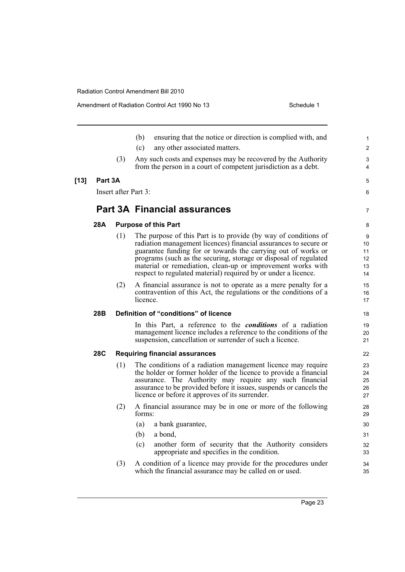|     |     | (b)<br>ensuring that the notice or direction is complied with, and                                                                                                                                                                                                                                                                                                                                        | $\mathbf{1}$                                                                               |
|-----|-----|-----------------------------------------------------------------------------------------------------------------------------------------------------------------------------------------------------------------------------------------------------------------------------------------------------------------------------------------------------------------------------------------------------------|--------------------------------------------------------------------------------------------|
|     |     | any other associated matters.<br>(c)                                                                                                                                                                                                                                                                                                                                                                      | $\overline{2}$                                                                             |
|     | (3) | Any such costs and expenses may be recovered by the Authority<br>from the person in a court of competent jurisdiction as a debt.                                                                                                                                                                                                                                                                          | 3<br>4                                                                                     |
|     |     |                                                                                                                                                                                                                                                                                                                                                                                                           | 5                                                                                          |
|     |     |                                                                                                                                                                                                                                                                                                                                                                                                           | 6                                                                                          |
|     |     |                                                                                                                                                                                                                                                                                                                                                                                                           | $\overline{7}$                                                                             |
| 28A |     |                                                                                                                                                                                                                                                                                                                                                                                                           | 8                                                                                          |
|     | (1) | The purpose of this Part is to provide (by way of conditions of<br>radiation management licences) financial assurances to secure or<br>guarantee funding for or towards the carrying out of works or<br>programs (such as the securing, storage or disposal of regulated<br>material or remediation, clean-up or improvement works with<br>respect to regulated material) required by or under a licence. | 9<br>10 <sup>1</sup><br>11<br>12<br>13<br>14                                               |
|     | (2) | A financial assurance is not to operate as a mere penalty for a<br>contravention of this Act, the regulations or the conditions of a<br>licence.                                                                                                                                                                                                                                                          | 15<br>16<br>17                                                                             |
|     |     |                                                                                                                                                                                                                                                                                                                                                                                                           |                                                                                            |
| 28B |     | Definition of "conditions" of licence                                                                                                                                                                                                                                                                                                                                                                     | 18                                                                                         |
|     |     | In this Part, a reference to the <i>conditions</i> of a radiation<br>management licence includes a reference to the conditions of the<br>suspension, cancellation or surrender of such a licence.                                                                                                                                                                                                         | 19<br>20<br>21                                                                             |
| 28C |     | <b>Requiring financial assurances</b>                                                                                                                                                                                                                                                                                                                                                                     | 22                                                                                         |
|     | (1) | The conditions of a radiation management licence may require<br>the holder or former holder of the licence to provide a financial<br>assurance. The Authority may require any such financial<br>assurance to be provided before it issues, suspends or cancels the<br>licence or before it approves of its surrender.                                                                                     | 23<br>24<br>25<br>26<br>27                                                                 |
|     | (2) | A financial assurance may be in one or more of the following<br>forms:                                                                                                                                                                                                                                                                                                                                    | 28<br>29                                                                                   |
|     |     | (a)<br>a bank guarantee,                                                                                                                                                                                                                                                                                                                                                                                  | 30                                                                                         |
|     |     | (b)<br>a bond,                                                                                                                                                                                                                                                                                                                                                                                            | 31                                                                                         |
|     |     | (c)<br>another form of security that the Authority considers<br>appropriate and specifies in the condition.                                                                                                                                                                                                                                                                                               | 32<br>33                                                                                   |
|     |     | Part 3A                                                                                                                                                                                                                                                                                                                                                                                                   | Insert after Part 3:<br><b>Part 3A Financial assurances</b><br><b>Purpose of this Part</b> |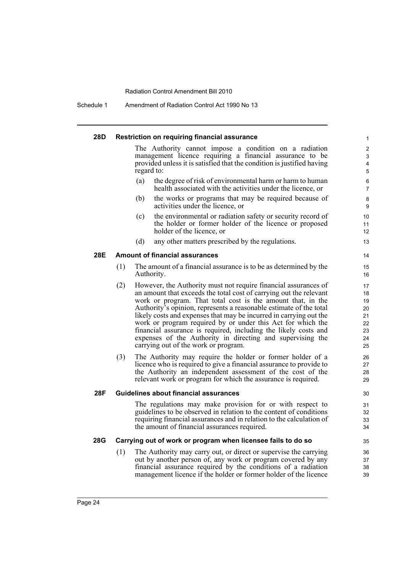Schedule 1 Amendment of Radiation Control Act 1990 No 13

### **28D Restriction on requiring financial assurance**

The Authority cannot impose a condition on a radiation management licence requiring a financial assurance to be provided unless it is satisfied that the condition is justified having regard to:

- (a) the degree of risk of environmental harm or harm to human health associated with the activities under the licence, or
- (b) the works or programs that may be required because of activities under the licence, or
- (c) the environmental or radiation safety or security record of the holder or former holder of the licence or proposed holder of the licence, or
- (d) any other matters prescribed by the regulations.

### **28E Amount of financial assurances**

- (1) The amount of a financial assurance is to be as determined by the Authority.
- (2) However, the Authority must not require financial assurances of an amount that exceeds the total cost of carrying out the relevant work or program. That total cost is the amount that, in the Authority's opinion, represents a reasonable estimate of the total likely costs and expenses that may be incurred in carrying out the work or program required by or under this Act for which the financial assurance is required, including the likely costs and expenses of the Authority in directing and supervising the carrying out of the work or program.
- (3) The Authority may require the holder or former holder of a licence who is required to give a financial assurance to provide to the Authority an independent assessment of the cost of the relevant work or program for which the assurance is required.

### **28F Guidelines about financial assurances**

The regulations may make provision for or with respect to guidelines to be observed in relation to the content of conditions requiring financial assurances and in relation to the calculation of the amount of financial assurances required.

# **28G Carrying out of work or program when licensee fails to do so**

(1) The Authority may carry out, or direct or supervise the carrying out by another person of, any work or program covered by any financial assurance required by the conditions of a radiation management licence if the holder or former holder of the licence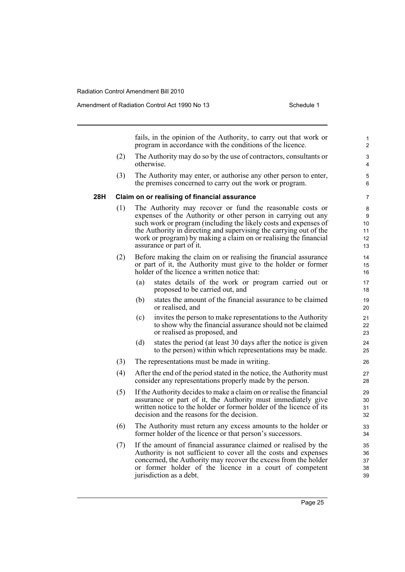fails, in the opinion of the Authority, to carry out that work or program in accordance with the conditions of the licence. (2) The Authority may do so by the use of contractors, consultants or otherwise. (3) The Authority may enter, or authorise any other person to enter, the premises concerned to carry out the work or program. **28H Claim on or realising of financial assurance** (1) The Authority may recover or fund the reasonable costs or expenses of the Authority or other person in carrying out any such work or program (including the likely costs and expenses of the Authority in directing and supervising the carrying out of the work or program) by making a claim on or realising the financial assurance or part of it. (2) Before making the claim on or realising the financial assurance or part of it, the Authority must give to the holder or former holder of the licence a written notice that: (a) states details of the work or program carried out or proposed to be carried out, and (b) states the amount of the financial assurance to be claimed or realised, and (c) invites the person to make representations to the Authority to show why the financial assurance should not be claimed or realised as proposed, and (d) states the period (at least 30 days after the notice is given to the person) within which representations may be made. (3) The representations must be made in writing. (4) After the end of the period stated in the notice, the Authority must consider any representations properly made by the person. (5) If the Authority decides to make a claim on or realise the financial assurance or part of it, the Authority must immediately give written notice to the holder or former holder of the licence of its decision and the reasons for the decision. (6) The Authority must return any excess amounts to the holder or former holder of the licence or that person's successors. (7) If the amount of financial assurance claimed or realised by the Authority is not sufficient to cover all the costs and expenses concerned, the Authority may recover the excess from the holder or former holder of the licence in a court of competent jurisdiction as a debt. 1  $\overline{2}$ 3 4 5 6 7 8 9 10 11 12 13 14 15 16 17 18 19 20 21  $22$ 23 24 25 26 27 28 29 30 31 32 33 34 35 36 37 38 39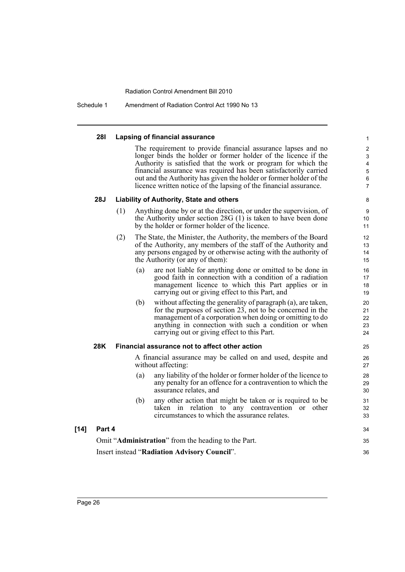Schedule 1 Amendment of Radiation Control Act 1990 No 13

### **28I Lapsing of financial assurance**

The requirement to provide financial assurance lapses and no longer binds the holder or former holder of the licence if the Authority is satisfied that the work or program for which the financial assurance was required has been satisfactorily carried out and the Authority has given the holder or former holder of the licence written notice of the lapsing of the financial assurance.

34

# **28J Liability of Authority, State and others**

- (1) Anything done by or at the direction, or under the supervision, of the Authority under section 28G (1) is taken to have been done by the holder or former holder of the licence.
- (2) The State, the Minister, the Authority, the members of the Board of the Authority, any members of the staff of the Authority and any persons engaged by or otherwise acting with the authority of the Authority (or any of them):
	- (a) are not liable for anything done or omitted to be done in good faith in connection with a condition of a radiation management licence to which this Part applies or in carrying out or giving effect to this Part, and
	- (b) without affecting the generality of paragraph (a), are taken, for the purposes of section 23, not to be concerned in the management of a corporation when doing or omitting to do anything in connection with such a condition or when carrying out or giving effect to this Part.

## **28K Financial assurance not to affect other action**

A financial assurance may be called on and used, despite and without affecting:

- (a) any liability of the holder or former holder of the licence to any penalty for an offence for a contravention to which the assurance relates, and
- (b) any other action that might be taken or is required to be taken in relation to any contravention or other circumstances to which the assurance relates.

# **[14] Part 4**

Omit "**Administration**" from the heading to the Part. Insert instead "**Radiation Advisory Council**". 35 36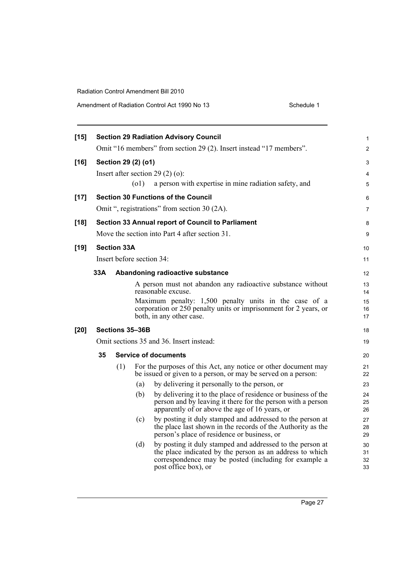| $[15]$ |                                                                     |                    |                 | <b>Section 29 Radiation Advisory Council</b>                                                                                                                                                           | $\mathbf{1}$         |  |  |  |  |
|--------|---------------------------------------------------------------------|--------------------|-----------------|--------------------------------------------------------------------------------------------------------------------------------------------------------------------------------------------------------|----------------------|--|--|--|--|
|        | Omit "16 members" from section 29 (2). Insert instead "17 members". |                    |                 |                                                                                                                                                                                                        |                      |  |  |  |  |
| $[16]$ | Section 29 (2) (o1)                                                 |                    |                 |                                                                                                                                                                                                        |                      |  |  |  |  |
|        | Insert after section 29 $(2)$ (o):                                  |                    |                 |                                                                                                                                                                                                        |                      |  |  |  |  |
|        |                                                                     |                    | (01)            | a person with expertise in mine radiation safety, and                                                                                                                                                  | 5                    |  |  |  |  |
| $[17]$ |                                                                     |                    |                 | <b>Section 30 Functions of the Council</b>                                                                                                                                                             | 6                    |  |  |  |  |
|        |                                                                     |                    |                 | Omit ", registrations" from section 30 (2A).                                                                                                                                                           | $\overline{7}$       |  |  |  |  |
| $[18]$ |                                                                     |                    |                 | Section 33 Annual report of Council to Parliament                                                                                                                                                      | 8                    |  |  |  |  |
|        |                                                                     |                    |                 | Move the section into Part 4 after section 31.                                                                                                                                                         | 9                    |  |  |  |  |
| $[19]$ |                                                                     | <b>Section 33A</b> |                 |                                                                                                                                                                                                        | 10                   |  |  |  |  |
|        |                                                                     |                    |                 | Insert before section 34:                                                                                                                                                                              | 11                   |  |  |  |  |
|        | 33A                                                                 |                    |                 | Abandoning radioactive substance                                                                                                                                                                       | 12                   |  |  |  |  |
|        |                                                                     |                    |                 | A person must not abandon any radioactive substance without                                                                                                                                            | 13                   |  |  |  |  |
|        |                                                                     |                    |                 | reasonable excuse.                                                                                                                                                                                     | 14                   |  |  |  |  |
|        |                                                                     |                    |                 | Maximum penalty: 1,500 penalty units in the case of a<br>corporation or 250 penalty units or imprisonment for 2 years, or                                                                              | 15<br>16             |  |  |  |  |
|        |                                                                     |                    |                 | both, in any other case.                                                                                                                                                                               | 17                   |  |  |  |  |
| $[20]$ |                                                                     |                    | Sections 35-36B |                                                                                                                                                                                                        | 18                   |  |  |  |  |
|        |                                                                     |                    |                 | Omit sections 35 and 36. Insert instead:                                                                                                                                                               | 19                   |  |  |  |  |
|        | 35                                                                  |                    |                 | <b>Service of documents</b>                                                                                                                                                                            | 20                   |  |  |  |  |
|        |                                                                     | (1)                |                 | For the purposes of this Act, any notice or other document may<br>be issued or given to a person, or may be served on a person:                                                                        | 21<br>22             |  |  |  |  |
|        |                                                                     |                    | (a)             | by delivering it personally to the person, or                                                                                                                                                          | 23                   |  |  |  |  |
|        |                                                                     |                    | (b)             | by delivering it to the place of residence or business of the<br>person and by leaving it there for the person with a person<br>apparently of or above the age of 16 years, or                         | 24<br>25<br>26       |  |  |  |  |
|        |                                                                     |                    | (c)             | by posting it duly stamped and addressed to the person at<br>the place last shown in the records of the Authority as the<br>person's place of residence or business, or                                | 27<br>28<br>29       |  |  |  |  |
|        |                                                                     |                    | (d)             | by posting it duly stamped and addressed to the person at<br>the place indicated by the person as an address to which<br>correspondence may be posted (including for example a<br>post office box), or | 30<br>31<br>32<br>33 |  |  |  |  |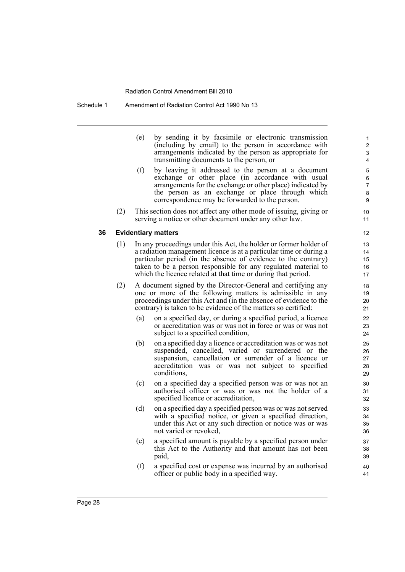Schedule 1 Amendment of Radiation Control Act 1990 No 13

|    |     | (e) | by sending it by facsimile or electronic transmission<br>(including by email) to the person in accordance with<br>arrangements indicated by the person as appropriate for<br>transmitting documents to the person, or                                                                                                                        | 1<br>$\overline{\mathbf{c}}$<br>3<br>4 |
|----|-----|-----|----------------------------------------------------------------------------------------------------------------------------------------------------------------------------------------------------------------------------------------------------------------------------------------------------------------------------------------------|----------------------------------------|
|    |     | (f) | by leaving it addressed to the person at a document<br>exchange or other place (in accordance with usual<br>arrangements for the exchange or other place) indicated by<br>the person as an exchange or place through which<br>correspondence may be forwarded to the person.                                                                 | 5<br>6<br>$\overline{7}$<br>8<br>9     |
|    | (2) |     | This section does not affect any other mode of issuing, giving or<br>serving a notice or other document under any other law.                                                                                                                                                                                                                 | 10<br>11                               |
| 36 |     |     | <b>Evidentiary matters</b>                                                                                                                                                                                                                                                                                                                   | 12                                     |
|    | (1) |     | In any proceedings under this Act, the holder or former holder of<br>a radiation management licence is at a particular time or during a<br>particular period (in the absence of evidence to the contrary)<br>taken to be a person responsible for any regulated material to<br>which the licence related at that time or during that period. | 13<br>14<br>15<br>16<br>17             |
|    | (2) |     | A document signed by the Director-General and certifying any<br>one or more of the following matters is admissible in any<br>proceedings under this Act and (in the absence of evidence to the<br>contrary) is taken to be evidence of the matters so certified:                                                                             | 18<br>19<br>20<br>21                   |
|    |     | (a) | on a specified day, or during a specified period, a licence<br>or accreditation was or was not in force or was or was not<br>subject to a specified condition,                                                                                                                                                                               | 22<br>23<br>24                         |
|    |     | (b) | on a specified day a licence or accreditation was or was not<br>suspended, cancelled, varied or surrendered or the<br>suspension, cancellation or surrender of a licence or<br>accreditation was or was not subject to specified<br>conditions,                                                                                              | 25<br>26<br>27<br>28<br>29             |
|    |     | (c) | on a specified day a specified person was or was not an<br>authorised officer or was or was not the holder of a<br>specified licence or accreditation,                                                                                                                                                                                       | 30<br>31<br>32                         |
|    |     | (d) | on a specified day a specified person was or was not served<br>with a specified notice, or given a specified direction,<br>under this Act or any such direction or notice was or was<br>not varied or revoked,                                                                                                                               | 33<br>34<br>35<br>36                   |
|    |     | (e) | a specified amount is payable by a specified person under<br>this Act to the Authority and that amount has not been<br>paid,                                                                                                                                                                                                                 | 37<br>38<br>39                         |
|    |     | (f) | a specified cost or expense was incurred by an authorised<br>officer or public body in a specified way.                                                                                                                                                                                                                                      | 40<br>41                               |
|    |     |     |                                                                                                                                                                                                                                                                                                                                              |                                        |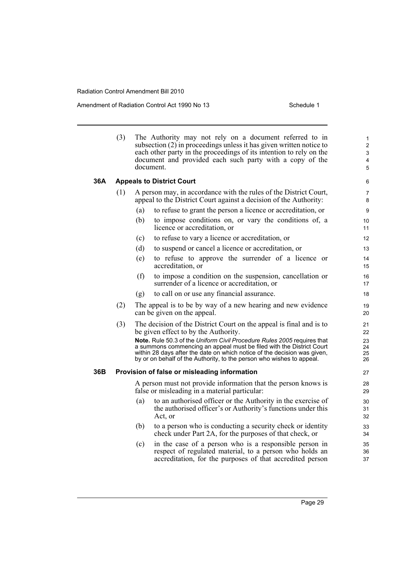Amendment of Radiation Control Act 1990 No 13 Schedule 1

|     | (3)                              |     | The Authority may not rely on a document referred to in<br>subsection $(2)$ in proceedings unless it has given written notice to<br>each other party in the proceedings of its intention to rely on the<br>document and provided each such party with a copy of the<br>document.                                                                                                                                    | $\mathbf{1}$<br>$\overline{2}$<br>3<br>4<br>5 |  |  |  |  |  |
|-----|----------------------------------|-----|---------------------------------------------------------------------------------------------------------------------------------------------------------------------------------------------------------------------------------------------------------------------------------------------------------------------------------------------------------------------------------------------------------------------|-----------------------------------------------|--|--|--|--|--|
| 36A | <b>Appeals to District Court</b> |     |                                                                                                                                                                                                                                                                                                                                                                                                                     |                                               |  |  |  |  |  |
|     | (1)                              |     | A person may, in accordance with the rules of the District Court,<br>appeal to the District Court against a decision of the Authority:                                                                                                                                                                                                                                                                              | 7<br>8                                        |  |  |  |  |  |
|     |                                  | (a) | to refuse to grant the person a licence or accreditation, or                                                                                                                                                                                                                                                                                                                                                        | 9                                             |  |  |  |  |  |
|     |                                  | (b) | to impose conditions on, or vary the conditions of, a<br>licence or accreditation, or                                                                                                                                                                                                                                                                                                                               | 10<br>11                                      |  |  |  |  |  |
|     |                                  | (c) | to refuse to vary a licence or accreditation, or                                                                                                                                                                                                                                                                                                                                                                    | 12                                            |  |  |  |  |  |
|     |                                  | (d) | to suspend or cancel a licence or accreditation, or                                                                                                                                                                                                                                                                                                                                                                 | 13                                            |  |  |  |  |  |
|     |                                  | (e) | to refuse to approve the surrender of a licence or<br>accreditation, or                                                                                                                                                                                                                                                                                                                                             | 14<br>15                                      |  |  |  |  |  |
|     |                                  | (f) | to impose a condition on the suspension, cancellation or<br>surrender of a licence or accreditation, or                                                                                                                                                                                                                                                                                                             | 16<br>17                                      |  |  |  |  |  |
|     |                                  | (g) | to call on or use any financial assurance.                                                                                                                                                                                                                                                                                                                                                                          | 18                                            |  |  |  |  |  |
|     | (2)                              |     | The appeal is to be by way of a new hearing and new evidence<br>can be given on the appeal.                                                                                                                                                                                                                                                                                                                         | 19<br>20                                      |  |  |  |  |  |
|     | (3)                              |     | The decision of the District Court on the appeal is final and is to<br>be given effect to by the Authority.<br>Note. Rule 50.3 of the Uniform Civil Procedure Rules 2005 requires that<br>a summons commencing an appeal must be filed with the District Court<br>within 28 days after the date on which notice of the decision was given,<br>by or on behalf of the Authority, to the person who wishes to appeal. | 21<br>22<br>23<br>24<br>25<br>26              |  |  |  |  |  |
| 36B |                                  |     | Provision of false or misleading information                                                                                                                                                                                                                                                                                                                                                                        | 27                                            |  |  |  |  |  |
|     |                                  |     | A person must not provide information that the person knows is<br>false or misleading in a material particular:                                                                                                                                                                                                                                                                                                     | 28<br>29                                      |  |  |  |  |  |
|     |                                  | (a) | to an authorised officer or the Authority in the exercise of<br>the authorised officer's or Authority's functions under this<br>Act, or                                                                                                                                                                                                                                                                             | 30<br>31<br>32                                |  |  |  |  |  |
|     |                                  | (b) | to a person who is conducting a security check or identity<br>check under Part 2A, for the purposes of that check, or                                                                                                                                                                                                                                                                                               | 33<br>34                                      |  |  |  |  |  |
|     |                                  | (c) | in the case of a person who is a responsible person in<br>respect of regulated material, to a person who holds an<br>accreditation, for the purposes of that accredited person                                                                                                                                                                                                                                      | 35<br>36<br>37                                |  |  |  |  |  |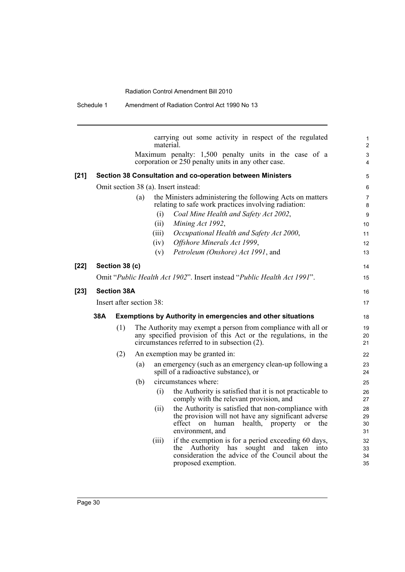|      |     |                          |     | material. | carrying out some activity in respect of the regulated                                                                                                                                       | $\mathbf{1}$<br>$\overline{2}$ |
|------|-----|--------------------------|-----|-----------|----------------------------------------------------------------------------------------------------------------------------------------------------------------------------------------------|--------------------------------|
|      |     |                          |     |           | Maximum penalty: 1,500 penalty units in the case of a                                                                                                                                        | 3                              |
|      |     |                          |     |           | corporation or 250 penalty units in any other case.                                                                                                                                          | $\overline{4}$                 |
| [21] |     |                          |     |           | Section 38 Consultation and co-operation between Ministers                                                                                                                                   | 5                              |
|      |     |                          |     |           | Omit section 38 (a). Insert instead:                                                                                                                                                         | 6                              |
|      |     |                          | (a) |           | the Ministers administering the following Acts on matters<br>relating to safe work practices involving radiation:                                                                            | 7<br>8                         |
|      |     |                          |     | (i)       | Coal Mine Health and Safety Act 2002,                                                                                                                                                        | 9                              |
|      |     |                          |     | (ii)      | Mining Act 1992,                                                                                                                                                                             | 10                             |
|      |     |                          |     | (iii)     | Occupational Health and Safety Act 2000,                                                                                                                                                     | 11                             |
|      |     |                          |     | (iv)      | Offshore Minerals Act 1999,                                                                                                                                                                  | 12                             |
|      |     |                          |     | (v)       | Petroleum (Onshore) Act 1991, and                                                                                                                                                            | 13                             |
| [22] |     | Section 38 (c)           |     |           |                                                                                                                                                                                              | 14                             |
|      |     |                          |     |           | Omit "Public Health Act 1902". Insert instead "Public Health Act 1991".                                                                                                                      | 15                             |
| [23] |     | <b>Section 38A</b>       |     |           |                                                                                                                                                                                              | 16                             |
|      |     | Insert after section 38: |     |           |                                                                                                                                                                                              | 17                             |
|      | 38A |                          |     |           | <b>Exemptions by Authority in emergencies and other situations</b>                                                                                                                           | 18                             |
|      |     | (1)                      |     |           | The Authority may exempt a person from compliance with all or<br>any specified provision of this Act or the regulations, in the<br>circumstances referred to in subsection (2).              | 19<br>20<br>21                 |
|      |     | (2)                      |     |           | An exemption may be granted in:                                                                                                                                                              | 22                             |
|      |     |                          | (a) |           | an emergency (such as an emergency clean-up following a<br>spill of a radioactive substance), or                                                                                             | 23<br>24                       |
|      |     |                          | (b) |           | circumstances where:                                                                                                                                                                         | 25                             |
|      |     |                          |     | (i)       | the Authority is satisfied that it is not practicable to<br>comply with the relevant provision, and                                                                                          | 26<br>27                       |
|      |     |                          |     | (ii)      | the Authority is satisfied that non-compliance with<br>the provision will not have any significant adverse<br>effect on human<br>health,<br>property<br>the<br>or<br>environment, and        | 28<br>29<br>30<br>31           |
|      |     |                          |     | (iii)     | if the exemption is for a period exceeding 60 days,<br>Authority<br>has<br>sought<br>and<br>the<br>taken<br>into<br>consideration the advice of the Council about the<br>proposed exemption. | 32<br>33<br>34<br>35           |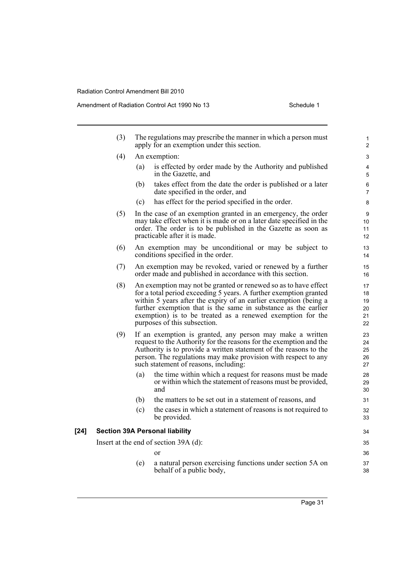|        | (3) |     | The regulations may prescribe the manner in which a person must<br>apply for an exemption under this section.                                                                                                                                                                                                                                                                                                                                    | $\mathbf{1}$<br>2                            |
|--------|-----|-----|--------------------------------------------------------------------------------------------------------------------------------------------------------------------------------------------------------------------------------------------------------------------------------------------------------------------------------------------------------------------------------------------------------------------------------------------------|----------------------------------------------|
|        | (4) |     | An exemption:                                                                                                                                                                                                                                                                                                                                                                                                                                    | 3                                            |
|        |     | (a) | is effected by order made by the Authority and published<br>in the Gazette, and                                                                                                                                                                                                                                                                                                                                                                  | 4<br>5                                       |
|        |     | (b) | takes effect from the date the order is published or a later<br>date specified in the order, and                                                                                                                                                                                                                                                                                                                                                 | 6<br>$\overline{7}$                          |
|        |     | (c) | has effect for the period specified in the order.                                                                                                                                                                                                                                                                                                                                                                                                | 8                                            |
|        | (5) |     | In the case of an exemption granted in an emergency, the order<br>may take effect when it is made or on a later date specified in the<br>order. The order is to be published in the Gazette as soon as<br>practicable after it is made.                                                                                                                                                                                                          | 9<br>10<br>11<br>12                          |
|        | (6) |     | An exemption may be unconditional or may be subject to<br>conditions specified in the order.                                                                                                                                                                                                                                                                                                                                                     | 13<br>14                                     |
|        | (7) |     | An exemption may be revoked, varied or renewed by a further<br>order made and published in accordance with this section.                                                                                                                                                                                                                                                                                                                         | 15<br>16                                     |
|        | (8) |     | An exemption may not be granted or renewed so as to have effect<br>for a total period exceeding 5 years. A further exemption granted<br>within 5 years after the expiry of an earlier exemption (being a<br>further exemption that is the same in substance as the earlier<br>exemption) is to be treated as a renewed exemption for the<br>purposes of this subsection.                                                                         | 17<br>18<br>19<br>20<br>21<br>22             |
|        | (9) | (a) | If an exemption is granted, any person may make a written<br>request to the Authority for the reasons for the exemption and the<br>Authority is to provide a written statement of the reasons to the<br>person. The regulations may make provision with respect to any<br>such statement of reasons, including:<br>the time within which a request for reasons must be made<br>or within which the statement of reasons must be provided,<br>and | 23<br>24<br>25<br>26<br>27<br>28<br>29<br>30 |
|        |     | (b) | the matters to be set out in a statement of reasons, and                                                                                                                                                                                                                                                                                                                                                                                         | 31                                           |
|        |     | (c) | the cases in which a statement of reasons is not required to<br>be provided.                                                                                                                                                                                                                                                                                                                                                                     | 32<br>33                                     |
| $[24]$ |     |     | <b>Section 39A Personal liability</b>                                                                                                                                                                                                                                                                                                                                                                                                            | 34                                           |
|        |     |     | Insert at the end of section $39A$ (d):                                                                                                                                                                                                                                                                                                                                                                                                          | 35                                           |
|        |     |     | <sub>or</sub>                                                                                                                                                                                                                                                                                                                                                                                                                                    | 36                                           |
|        |     | (e) | a natural person exercising functions under section 5A on<br>behalf of a public body,                                                                                                                                                                                                                                                                                                                                                            | 37<br>38                                     |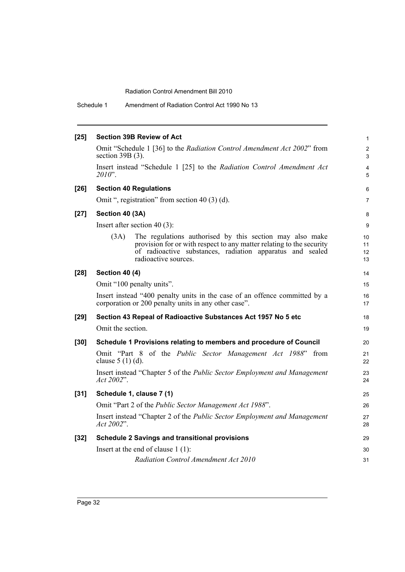Schedule 1 Amendment of Radiation Control Act 1990 No 13

| $[25]$ | <b>Section 39B Review of Act</b>                                                                                                                                                                                              |                      |  |  |  |  |  |
|--------|-------------------------------------------------------------------------------------------------------------------------------------------------------------------------------------------------------------------------------|----------------------|--|--|--|--|--|
|        | Omit "Schedule 1 [36] to the Radiation Control Amendment Act 2002" from<br>section $39B(3)$ .                                                                                                                                 |                      |  |  |  |  |  |
|        | Insert instead "Schedule 1 [25] to the Radiation Control Amendment Act<br>$2010$ ".                                                                                                                                           | 4<br>5               |  |  |  |  |  |
| $[26]$ | <b>Section 40 Regulations</b>                                                                                                                                                                                                 | 6                    |  |  |  |  |  |
|        | Omit ", registration" from section 40 (3) (d).                                                                                                                                                                                | $\overline{7}$       |  |  |  |  |  |
| $[27]$ | Section 40 (3A)                                                                                                                                                                                                               |                      |  |  |  |  |  |
|        | Insert after section $40(3)$ :                                                                                                                                                                                                |                      |  |  |  |  |  |
|        | The regulations authorised by this section may also make<br>(3A)<br>provision for or with respect to any matter relating to the security<br>of radioactive substances, radiation apparatus and sealed<br>radioactive sources. | 10<br>11<br>12<br>13 |  |  |  |  |  |
| $[28]$ | <b>Section 40 (4)</b>                                                                                                                                                                                                         |                      |  |  |  |  |  |
|        | Omit "100 penalty units".                                                                                                                                                                                                     |                      |  |  |  |  |  |
|        | Insert instead "400 penalty units in the case of an offence committed by a<br>corporation or 200 penalty units in any other case".                                                                                            | 16<br>17             |  |  |  |  |  |
| $[29]$ | Section 43 Repeal of Radioactive Substances Act 1957 No 5 etc                                                                                                                                                                 | 18                   |  |  |  |  |  |
|        | Omit the section.                                                                                                                                                                                                             | 19                   |  |  |  |  |  |
| $[30]$ | Schedule 1 Provisions relating to members and procedure of Council                                                                                                                                                            |                      |  |  |  |  |  |
|        | Omit "Part 8 of the <i>Public Sector Management Act 1988</i> "<br>from<br>clause $5(1)(d)$ .                                                                                                                                  | 21<br>22             |  |  |  |  |  |
|        | Insert instead "Chapter 5 of the Public Sector Employment and Management<br>Act 2002".                                                                                                                                        | 23<br>24             |  |  |  |  |  |
| $[31]$ | Schedule 1, clause 7 (1)                                                                                                                                                                                                      |                      |  |  |  |  |  |
|        | Omit "Part 2 of the Public Sector Management Act 1988".                                                                                                                                                                       |                      |  |  |  |  |  |
|        | Insert instead "Chapter 2 of the Public Sector Employment and Management<br>Act 2002".                                                                                                                                        | 27<br>28             |  |  |  |  |  |
| $[32]$ | <b>Schedule 2 Savings and transitional provisions</b>                                                                                                                                                                         |                      |  |  |  |  |  |
|        | Insert at the end of clause $1(1)$ :                                                                                                                                                                                          | 30                   |  |  |  |  |  |
|        | Radiation Control Amendment Act 2010                                                                                                                                                                                          | 31                   |  |  |  |  |  |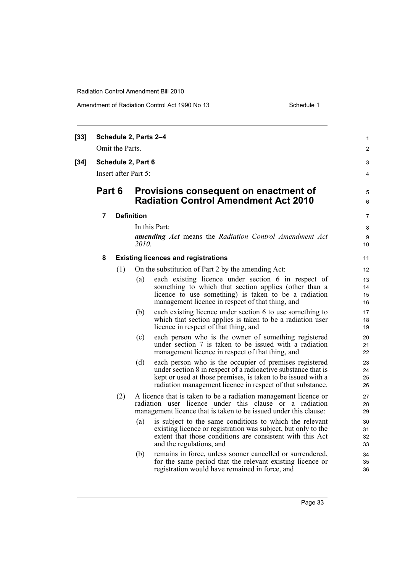| $[33]$ |                      | Schedule 2, Parts 2-4<br>Omit the Parts. |                                                                                                                                                                                                |                                                                                                                                                                                                                                                       | 1<br>$\overline{c}$  |  |  |
|--------|----------------------|------------------------------------------|------------------------------------------------------------------------------------------------------------------------------------------------------------------------------------------------|-------------------------------------------------------------------------------------------------------------------------------------------------------------------------------------------------------------------------------------------------------|----------------------|--|--|
| $[34]$ |                      | Schedule 2, Part 6                       |                                                                                                                                                                                                |                                                                                                                                                                                                                                                       | 3                    |  |  |
|        | Insert after Part 5: |                                          |                                                                                                                                                                                                |                                                                                                                                                                                                                                                       |                      |  |  |
|        | Part 6               |                                          |                                                                                                                                                                                                | Provisions consequent on enactment of<br><b>Radiation Control Amendment Act 2010</b>                                                                                                                                                                  | 5<br>6               |  |  |
|        | 7                    |                                          | <b>Definition</b>                                                                                                                                                                              |                                                                                                                                                                                                                                                       |                      |  |  |
|        |                      |                                          |                                                                                                                                                                                                | In this Part:                                                                                                                                                                                                                                         |                      |  |  |
|        |                      |                                          | <i>2010.</i>                                                                                                                                                                                   | <b>amending Act</b> means the Radiation Control Amendment Act                                                                                                                                                                                         | 9<br>10              |  |  |
|        | 8                    |                                          |                                                                                                                                                                                                | <b>Existing licences and registrations</b>                                                                                                                                                                                                            | 11                   |  |  |
|        |                      | (1)                                      |                                                                                                                                                                                                | On the substitution of Part 2 by the amending Act:                                                                                                                                                                                                    | 12                   |  |  |
|        |                      |                                          | (a)                                                                                                                                                                                            | each existing licence under section 6 in respect of<br>something to which that section applies (other than a<br>licence to use something) is taken to be a radiation<br>management licence in respect of that thing, and                              | 13<br>14<br>15<br>16 |  |  |
|        |                      |                                          | (b)                                                                                                                                                                                            | each existing licence under section 6 to use something to<br>which that section applies is taken to be a radiation user<br>licence in respect of that thing, and                                                                                      | 17<br>18<br>19       |  |  |
|        |                      |                                          | (c)                                                                                                                                                                                            | each person who is the owner of something registered<br>under section 7 is taken to be issued with a radiation<br>management licence in respect of that thing, and                                                                                    | 20<br>21<br>22       |  |  |
|        |                      |                                          | (d)                                                                                                                                                                                            | each person who is the occupier of premises registered<br>under section 8 in respect of a radioactive substance that is<br>kept or used at those premises, is taken to be issued with a<br>radiation management licence in respect of that substance. | 23<br>24<br>25<br>26 |  |  |
|        |                      | (2)                                      | A licence that is taken to be a radiation management licence or<br>radiation user licence under this clause or a radiation<br>management licence that is taken to be issued under this clause: |                                                                                                                                                                                                                                                       |                      |  |  |
|        |                      |                                          | (a)                                                                                                                                                                                            | is subject to the same conditions to which the relevant<br>existing licence or registration was subject, but only to the<br>extent that those conditions are consistent with this Act<br>and the regulations, and                                     | 30<br>31<br>32<br>33 |  |  |
|        |                      |                                          | (b)                                                                                                                                                                                            | remains in force, unless sooner cancelled or surrendered,<br>for the same period that the relevant existing licence or<br>registration would have remained in force, and                                                                              | 34<br>35<br>36       |  |  |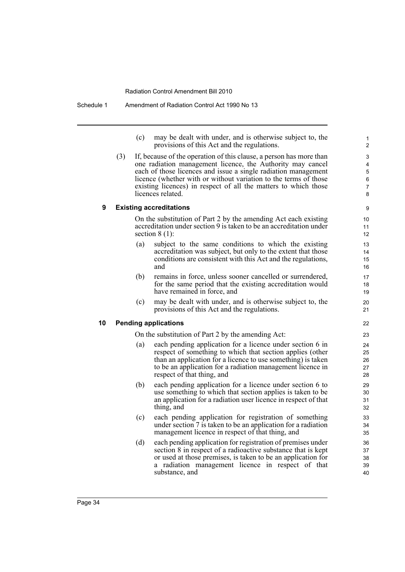(c) may be dealt with under, and is otherwise subject to, the provisions of this Act and the regulations.

(3) If, because of the operation of this clause, a person has more than one radiation management licence, the Authority may cancel each of those licences and issue a single radiation management licence (whether with or without variation to the terms of those existing licences) in respect of all the matters to which those licences related.

#### **9 Existing accreditations**

On the substitution of Part 2 by the amending Act each existing accreditation under section 9 is taken to be an accreditation under section  $8(1)$ :

- (a) subject to the same conditions to which the existing accreditation was subject, but only to the extent that those conditions are consistent with this Act and the regulations, and
- (b) remains in force, unless sooner cancelled or surrendered, for the same period that the existing accreditation would have remained in force, and
- (c) may be dealt with under, and is otherwise subject to, the provisions of this Act and the regulations.

### **10 Pending applications**

On the substitution of Part 2 by the amending Act:

- (a) each pending application for a licence under section 6 in respect of something to which that section applies (other than an application for a licence to use something) is taken to be an application for a radiation management licence in respect of that thing, and
- (b) each pending application for a licence under section 6 to use something to which that section applies is taken to be an application for a radiation user licence in respect of that thing, and
- (c) each pending application for registration of something under section 7 is taken to be an application for a radiation management licence in respect of that thing, and
- (d) each pending application for registration of premises under section 8 in respect of a radioactive substance that is kept or used at those premises, is taken to be an application for a radiation management licence in respect of that substance, and